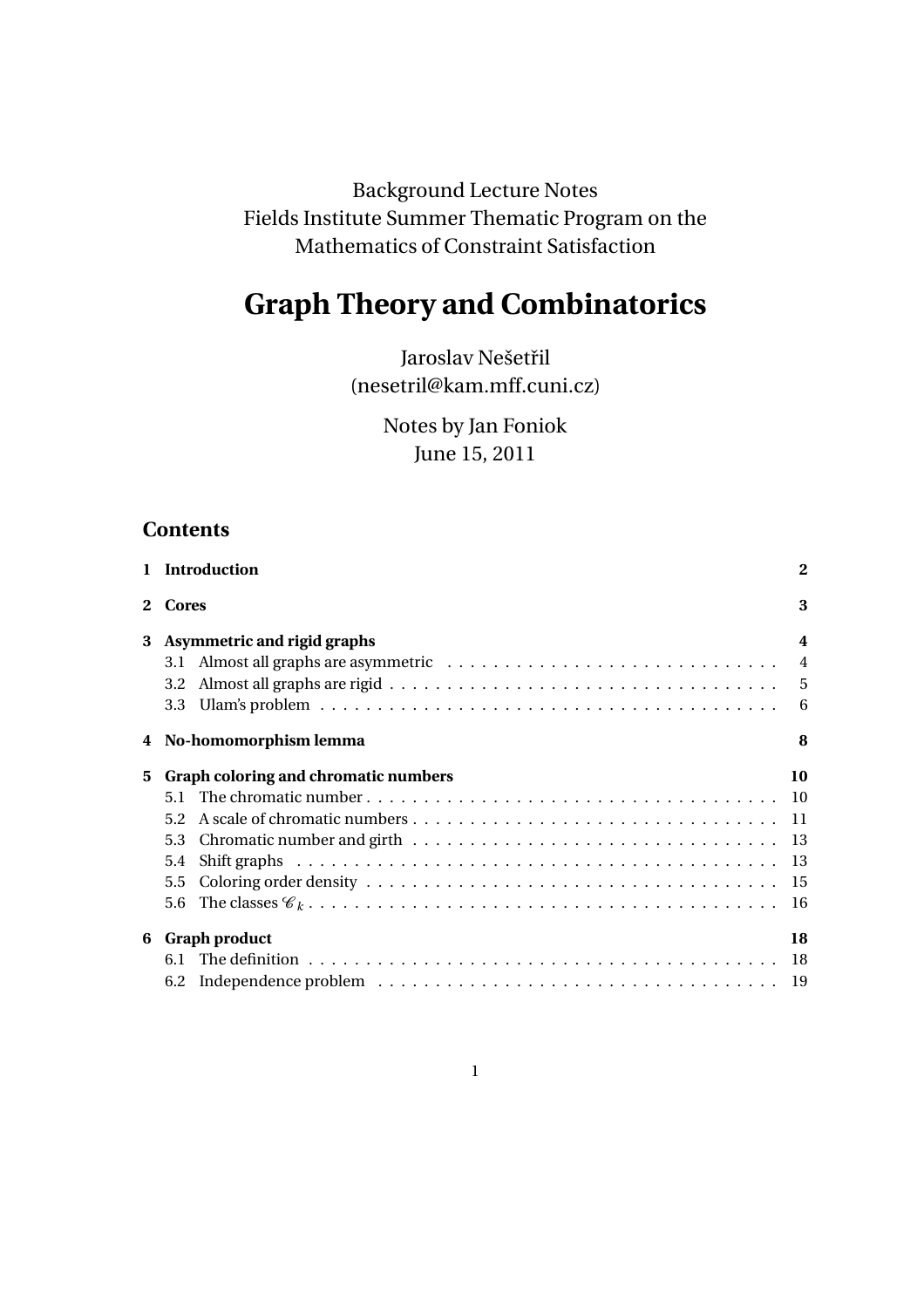Background Lecture Notes Fields Institute Summer Thematic Program on the Mathematics of Constraint Satisfaction

# **Graph Theory and Combinatorics**

Jaroslav Nešetřil (nesetril@kam.mff.cuni.cz)

> Notes by Jan Foniok June 15, 2011

# **Contents**

|   | 1 Introduction                       | $\mathbf 2$             |
|---|--------------------------------------|-------------------------|
|   | 2 Cores                              | 3                       |
| 3 | <b>Asymmetric and rigid graphs</b>   | $\overline{\mathbf{4}}$ |
|   |                                      |                         |
|   | 3.2                                  |                         |
|   | 3.3                                  |                         |
|   | 4 No-homomorphism lemma              | 8                       |
| 5 | Graph coloring and chromatic numbers | 10                      |
|   | 5.1                                  |                         |
|   | $5.2^{\circ}$                        |                         |
|   | 5.3                                  |                         |
|   | 5.4                                  |                         |
|   | 5.5                                  |                         |
|   |                                      |                         |
| 6 | <b>Graph product</b>                 | 18                      |
|   | 6.1                                  |                         |
|   |                                      |                         |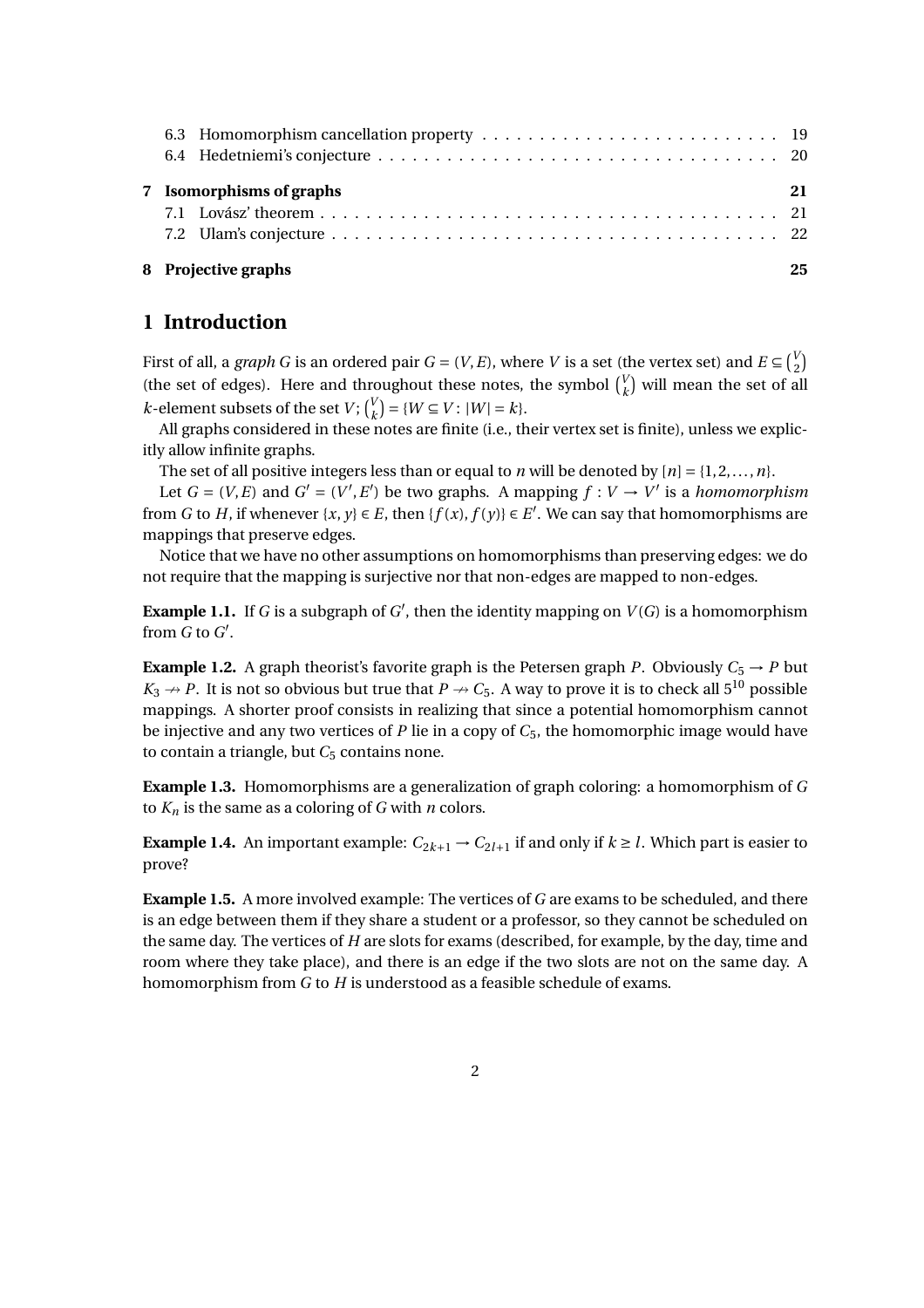|  | 8 Projective graphs      | 25 |
|--|--------------------------|----|
|  | 7 Isomorphisms of graphs | 21 |
|  |                          |    |

# **1 Introduction**

First of all, a *graph G* is an ordered pair  $G = (V, E)$ , where *V* is a set (the vertex set) and  $E \subseteq \binom{V}{2}$ (the set of edges). Here and throughout these notes, the symbol  $\binom{V}{k}$  will mean the set of all *k*-element subsets of the set *V*;  $\binom{V}{k} = \{W \subseteq V : |W| = k\}.$ 

All graphs considered in these notes are finite (i.e., their vertex set is finite), unless we explicitly allow infinite graphs.

The set of all positive integers less than or equal to *n* will be denoted by  $[n] = \{1, 2, ..., n\}$ .

Let  $G = (V, E)$  and  $G' = (V', E')$  be two graphs. A mapping  $f : V \to V'$  is a *homomorphism* from *G* to *H*, if whenever  $\{x, y\} \in E$ , then  $\{f(x), f(y)\} \in E'$ . We can say that homomorphisms are mappings that preserve edges.

Notice that we have no other assumptions on homomorphisms than preserving edges: we do not require that the mapping is surjective nor that non-edges are mapped to non-edges.

**Example 1.1.** If *G* is a subgraph of  $G'$ , then the identity mapping on  $V(G)$  is a homomorphism from  $G$  to  $G'$ .

**Example 1.2.** A graph theorist's favorite graph is the Petersen graph *P*. Obviously  $C_5 \rightarrow P$  but  $K_3 \rightarrow P$ . It is not so obvious but true that  $P \rightarrow C_5$ . A way to prove it is to check all 5<sup>10</sup> possible mappings. A shorter proof consists in realizing that since a potential homomorphism cannot be injective and any two vertices of *P* lie in a copy of *C*5, the homomorphic image would have to contain a triangle, but *C*<sub>5</sub> contains none.

**Example 1.3.** Homomorphisms are a generalization of graph coloring: a homomorphism of *G* to  $K_n$  is the same as a coloring of *G* with *n* colors.

**Example 1.4.** An important example:  $C_{2k+1} \rightarrow C_{2l+1}$  if and only if  $k \geq l$ . Which part is easier to prove?

**Example 1.5.** A more involved example: The vertices of *G* are exams to be scheduled, and there is an edge between them if they share a student or a professor, so they cannot be scheduled on the same day. The vertices of *H* are slots for exams (described, for example, by the day, time and room where they take place), and there is an edge if the two slots are not on the same day. A homomorphism from *G* to *H* is understood as a feasible schedule of exams.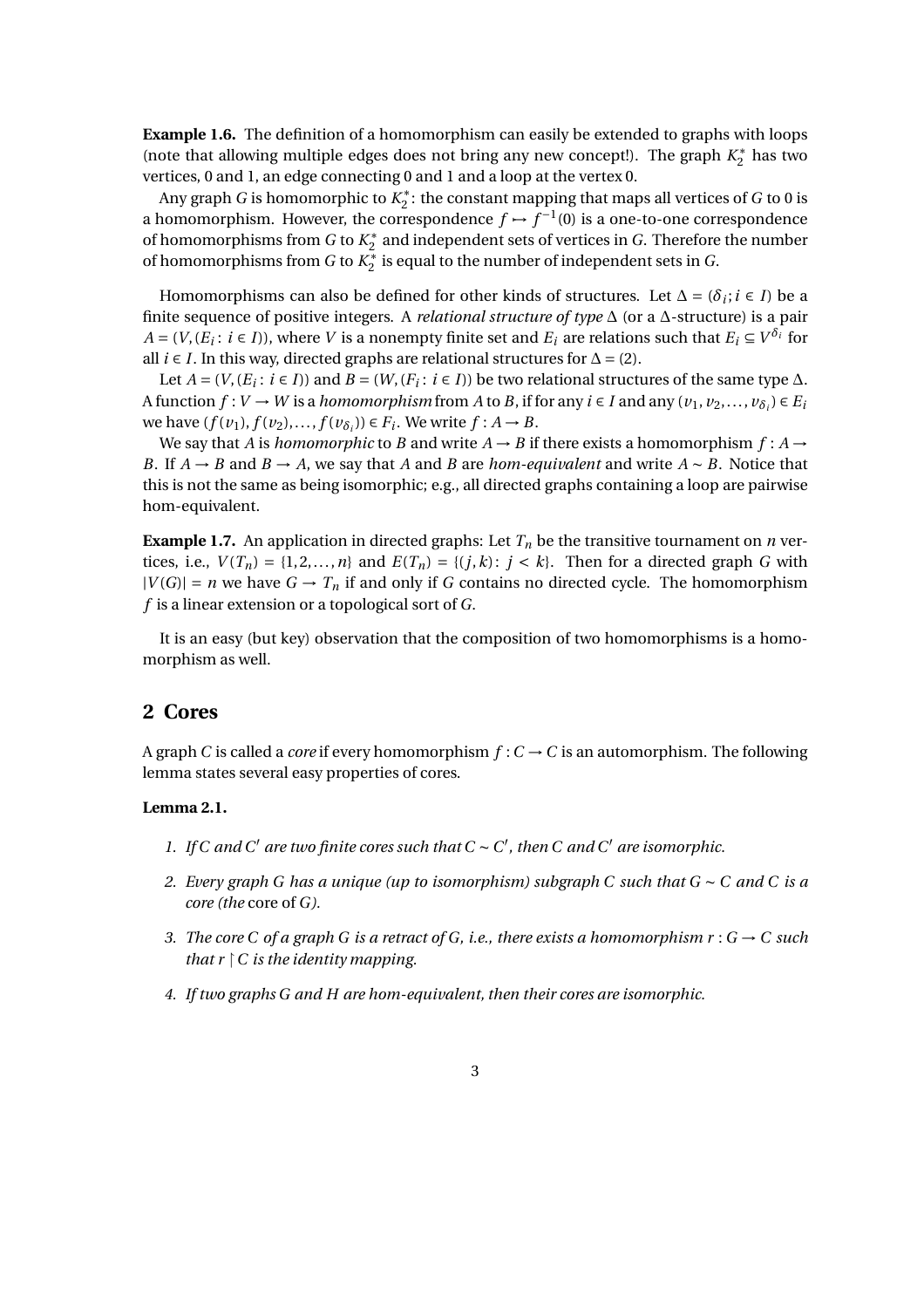**Example 1.6.** The definition of a homomorphism can easily be extended to graphs with loops (note that allowing multiple edges does not bring any new concept!). The graph  $K_2^*$  has two vertices, 0 and 1, an edge connecting 0 and 1 and a loop at the vertex 0.

Any graph *G* is homomorphic to  $K_2^*$ : the constant mapping that maps all vertices of *G* to 0 is a homomorphism. However, the correspondence  $f \mapsto f^{-1}(0)$  is a one-to-one correspondence of homomorphisms from  $G$  to  $K_2^*$  and independent sets of vertices in  $G$ . Therefore the number of homomorphisms from *G* to  $K_2^*$  is equal to the number of independent sets in *G*.

Homomorphisms can also be defined for other kinds of structures. Let  $\Delta = (\delta_i; i \in I)$  be a finite sequence of positive integers. A *relational structure of type* ∆ (or a ∆-structure) is a pair *A* = (*V*, (*E*<sub>*i*</sub>: *i* ∈ *I*)), where *V* is a nonempty finite set and *E*<sub>*i*</sub> are relations such that *E*<sub>*i*</sub> ⊆ *V*<sup>δ<sub>*i*</sub></sup> for all *i* ∈ *I*. In this way, directed graphs are relational structures for  $\Delta$  = (2).

Let  $A = (V, (E_i : i \in I))$  and  $B = (W, (F_i : i \in I))$  be two relational structures of the same type  $\Delta$ . A function  $f: V \to W$  is a *homomorphism* from A to B, if for any  $i \in I$  and any  $(v_1, v_2, \ldots, v_{\delta_i}) \in E_i$ we have  $(f(v_1), f(v_2),..., f(v_{\delta_i})) \in F_i$ . We write  $f : A \to B$ .

We say that *A* is *homomorphic* to *B* and write  $A \rightarrow B$  if there exists a homomorphism  $f : A \rightarrow$ *B*. If  $A \rightarrow B$  and  $B \rightarrow A$ , we say that *A* and *B* are *hom-equivalent* and write  $A \sim B$ . Notice that this is not the same as being isomorphic; e.g., all directed graphs containing a loop are pairwise hom-equivalent.

**Example 1.7.** An application in directed graphs: Let  $T<sub>n</sub>$  be the transitive tournament on *n* vertices, i.e.,  $V(T_n) = \{1, 2, ..., n\}$  and  $E(T_n) = \{(j, k): j < k\}$ . Then for a directed graph *G* with  $|V(G)| = n$  we have  $G \to T_n$  if and only if *G* contains no directed cycle. The homomorphism *f* is a linear extension or a topological sort of *G*.

It is an easy (but key) observation that the composition of two homomorphisms is a homomorphism as well.

# **2 Cores**

A graph *C* is called a *core* if every homomorphism  $f: C \to C$  is an automorphism. The following lemma states several easy properties of cores.

## **Lemma 2.1.**

- *1. If C and C' are two finite cores such that*  $C ∼ C'$ *, then*  $C$  *and*  $C'$  *are isomorphic.*
- *2. Every graph G has a unique (up to isomorphism) subgraph C such that G* ∼ *C and C is a core (the* core of *G).*
- *3. The core C of a graph G is a retract of G, i.e., there exists a homomorphism*  $r : G \to C$  *such that*  $r \upharpoonright C$  *is the identity mapping.*
- *4. If two graphs G and H are hom-equivalent, then their cores are isomorphic.*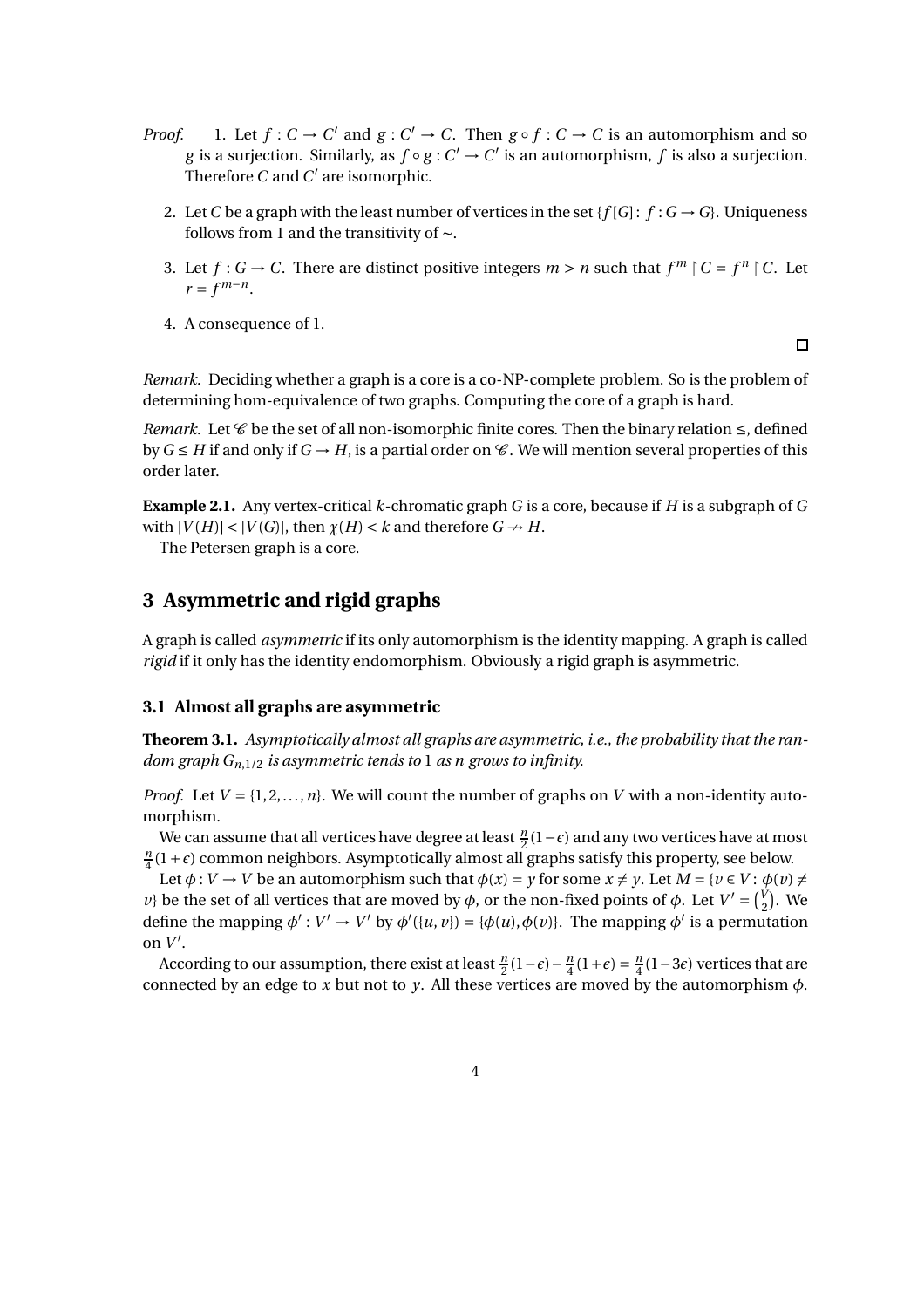- *Proof.* 1. Let  $f: C \to C'$  and  $g: C' \to C$ . Then  $g \circ f: C \to C$  is an automorphism and so *g* is a surjection. Similarly, as  $f \circ g : C' \to C'$  is an automorphism,  $f$  is also a surjection. Therefore  $C$  and  $C'$  are isomorphic.
	- 2. Let *C* be a graph with the least number of vertices in the set { $f[G]: f: G \rightarrow G$ }. Uniqueness follows from 1 and the transitivity of ∼.
	- 3. Let  $f: G \to C$ . There are distinct positive integers  $m > n$  such that  $f^m \nmid C = f^n \nmid C$ . Let  $r = f^{m-n}$ .
	- 4. A consequence of 1.

 $\Box$ 

*Remark.* Deciding whether a graph is a core is a co-NP-complete problem. So is the problem of determining hom-equivalence of two graphs. Computing the core of a graph is hard.

*Remark.* Let  $\mathscr C$  be the set of all non-isomorphic finite cores. Then the binary relation  $\leq$ , defined by  $G \leq H$  if and only if  $G \rightarrow H$ , is a partial order on  $\mathscr C$ . We will mention several properties of this order later.

**Example 2.1.** Any vertex-critical *k*-chromatic graph *G* is a core, because if *H* is a subgraph of *G* with  $|V(H)| < |V(G)|$ , then  $\chi(H) < k$  and therefore  $G \rightarrow H$ .

The Petersen graph is a core.

# **3 Asymmetric and rigid graphs**

A graph is called *asymmetric* if its only automorphism is the identity mapping. A graph is called *rigid* if it only has the identity endomorphism. Obviously a rigid graph is asymmetric.

## **3.1 Almost all graphs are asymmetric**

**Theorem 3.1.** *Asymptotically almost all graphs are asymmetric, i.e., the probability that the random graph Gn*,1/2 *is asymmetric tends to* 1 *as n grows to infinity.*

*Proof.* Let  $V = \{1, 2, ..., n\}$ . We will count the number of graphs on *V* with a non-identity automorphism.

We can assume that all vertices have degree at least  $\frac{n}{2}(1-\epsilon)$  and any two vertices have at most  $\frac{n}{4}(1+\epsilon)$  common neighbors. Asymptotically almost all graphs satisfy this property, see below.

Let  $\phi: V \to V$  be an automorphism such that  $\phi(x) = y$  for some  $x \neq y$ . Let  $M = \{v \in V : \phi(v) \neq \phi(v)\}$ *v*} be the set of all vertices that are moved by  $\phi$ , or the non-fixed points of  $\phi$ . Let  $V' = \begin{pmatrix} V \\ 2 \end{pmatrix}$ . We define the mapping  $\phi' : V' \to V'$  by  $\phi'(\{u, v\}) = \{\phi(u), \phi(v)\}\)$ . The mapping  $\phi'$  is a permutation on  $V'$ .

According to our assumption, there exist at least  $\frac{n}{2}(1-\epsilon) - \frac{n}{4}(1+\epsilon) = \frac{n}{4}(1-3\epsilon)$  vertices that are connected by an edge to  $x$  but not to  $y$ . All these vertices are moved by the automorphism  $\phi$ .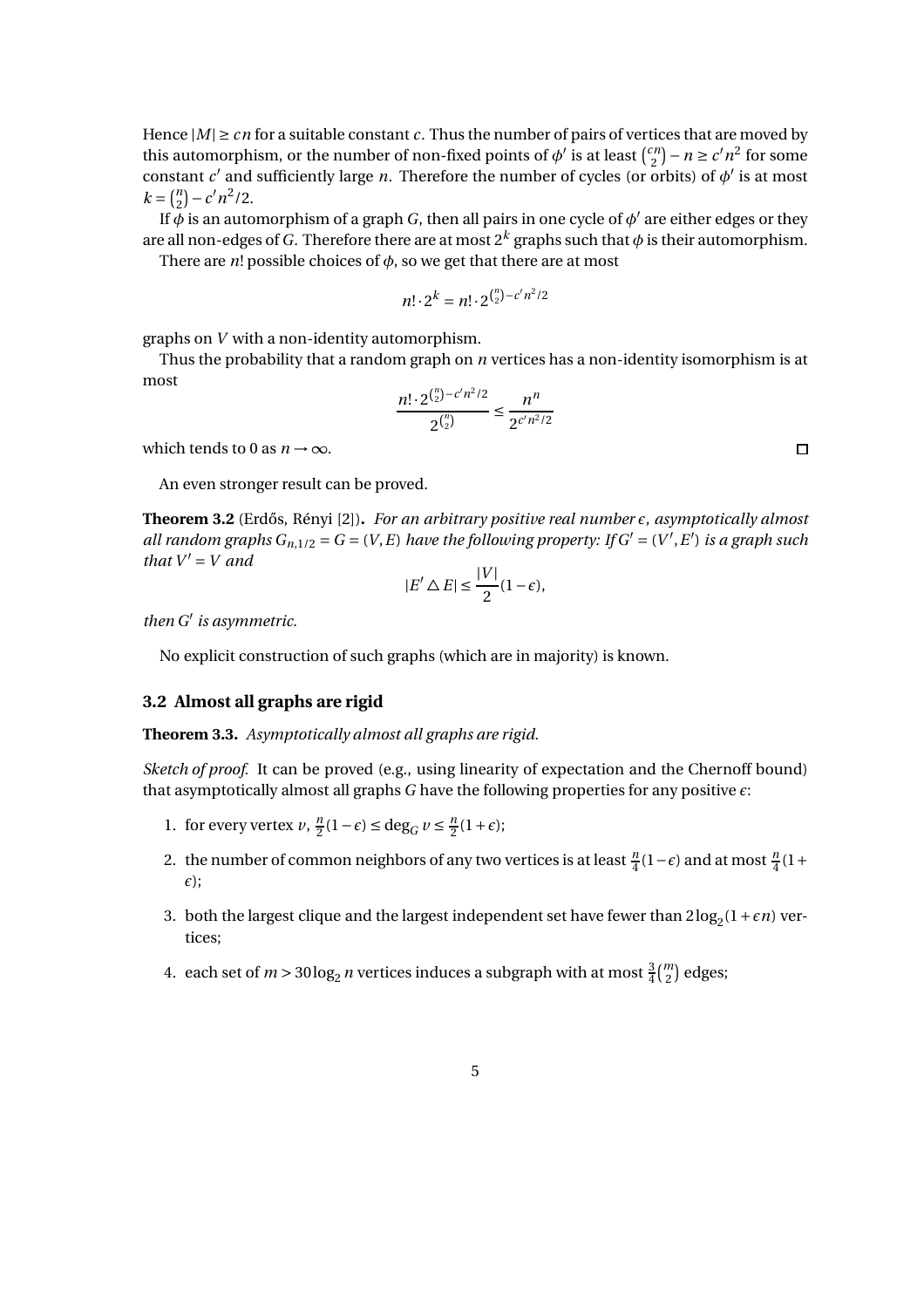Hence  $|M| \geq cn$  for a suitable constant *c*. Thus the number of pairs of vertices that are moved by this automorphism, or the number of non-fixed points of  $\phi'$  is at least  $\binom{cn}{2}$  $\binom{2n}{2} - n \geq c' n^2$  for some constant  $c'$  and sufficiently large *n*. Therefore the number of cycles (or orbits) of  $\phi'$  is at most  $k = \binom{n}{2}$  $\binom{n}{2} - c' n^2 / 2.$ 

If  $\tilde{\phi}$  is an automorphism of a graph *G*, then all pairs in one cycle of  $\phi'$  are either edges or they are all non-edges of *G*. Therefore there are at most 2*<sup>k</sup>* graphs such that *φ* is their automorphism.

There are  $n!$  possible choices of  $\phi$ , so we get that there are at most

$$
n! \cdot 2^k = n! \cdot 2^{{n \choose 2} - c'n^2/2}
$$

graphs on *V* with a non-identity automorphism.

Thus the probability that a random graph on *n* vertices has a non-identity isomorphism is at most

$$
\frac{n! \cdot 2^{\binom{n}{2} - c'n^2/2}}{2^{\binom{n}{2}}} \le \frac{n^n}{2^{c'n^2/2}}
$$

which tends to 0 as  $n \rightarrow \infty$ .

An even stronger result can be proved.

**Theorem 3.2** (Erd˝os, Rényi [2])**.** *For an arbitrary positive real number ǫ, asymptotically almost all random graphs*  $G_{n,1/2} = G = (V, E)$  *have the following property: If*  $G' = (V', E')$  *is a graph such that*  $V' = V$  *and* 

$$
|E' \triangle E| \le \frac{|V|}{2}(1 - \epsilon),
$$

*then G*′ *is asymmetric.*

No explicit construction of such graphs (which are in majority) is known.

#### **3.2 Almost all graphs are rigid**

**Theorem 3.3.** *Asymptotically almost all graphs are rigid.*

*Sketch of proof.* It can be proved (e.g., using linearity of expectation and the Chernoff bound) that asymptotically almost all graphs *G* have the following properties for any positive *ǫ*:

- 1. for every vertex *v*,  $\frac{n}{2}(1-\epsilon) \le \deg_G v \le \frac{n}{2}(1+\epsilon);$
- 2. the number of common neighbors of any two vertices is at least  $\frac{n}{4}(1-\epsilon)$  and at most  $\frac{n}{4}(1+\epsilon)$ *ǫ*);
- 3. both the largest clique and the largest independent set have fewer than  $2\log_2(1+\epsilon n)$  vertices;
- 4. each set of  $m > 30 \log_2 n$  vertices induces a subgraph with at most  $\frac{3}{4} {m \choose 2}$  edges;

 $\Box$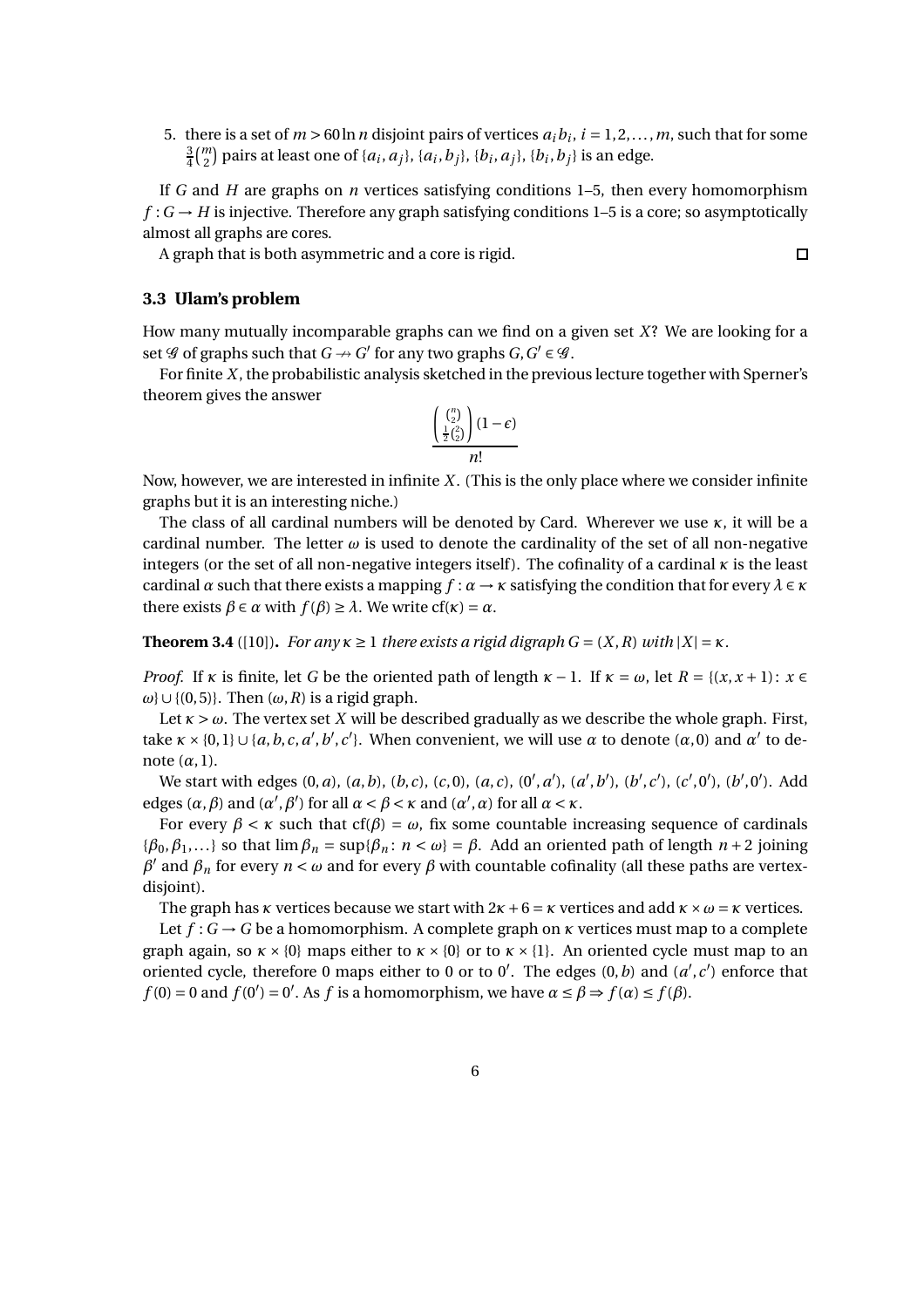5. there is a set of  $m > 60 \ln n$  disjoint pairs of vertices  $a_i b_i$ ,  $i = 1, 2, \ldots, m$ , such that for some 3  $\frac{3}{4}\binom{m}{2}$  pairs at least one of { $a_i, a_j$ }, { $a_i, b_j$ }, { $b_i, a_j$ }, { $b_i, b_j$ } is an edge.

If *G* and *H* are graphs on *n* vertices satisfying conditions 1–5, then every homomorphism  $f: G \to H$  is injective. Therefore any graph satisfying conditions 1–5 is a core; so asymptotically almost all graphs are cores.

 $\Box$ 

A graph that is both asymmetric and a core is rigid.

#### **3.3 Ulam's problem**

How many mutually incomparable graphs can we find on a given set *X*? We are looking for a set  $\mathscr G$  of graphs such that  $G \to G'$  for any two graphs  $G, G' \in \mathscr G$ .

For finite *X*, the probabilistic analysis sketched in the previous lecture together with Sperner's theorem gives the answer

$$
\frac{\left(\begin{array}{c} {n \choose 2} \\ \frac{1}{2}{2 \choose 2} \end{array}\right) (1-\epsilon)}{n!}
$$

Now, however, we are interested in infinite *X*. (This is the only place where we consider infinite graphs but it is an interesting niche.)

The class of all cardinal numbers will be denoted by Card. Wherever we use *κ*, it will be a cardinal number. The letter  $\omega$  is used to denote the cardinality of the set of all non-negative integers (or the set of all non-negative integers itself). The cofinality of a cardinal  $\kappa$  is the least cardinal  $\alpha$  such that there exists a mapping  $f : \alpha \to \kappa$  satisfying the condition that for every  $\lambda \in \kappa$ there exists  $\beta \in \alpha$  with  $f(\beta) \ge \lambda$ . We write cf( $\kappa$ ) =  $\alpha$ .

**Theorem 3.4** ([10]). *For any*  $\kappa \geq 1$  *there exists a rigid digraph*  $G = (X, R)$  *with*  $|X| = \kappa$ *.* 

*Proof.* If  $\kappa$  is finite, let *G* be the oriented path of length  $\kappa - 1$ . If  $\kappa = \omega$ , let  $R = \{(x, x + 1): x \in$  $ω$ }∪{(0,5)}. Then ( $ω$ , *R*) is a rigid graph.

Let  $\kappa > \omega$ . The vertex set *X* will be described gradually as we describe the whole graph. First, take  $\kappa \times \{0,1\} \cup \{a,b,c,a',b',c'\}$ . When convenient, we will use  $\alpha$  to denote  $(\alpha,0)$  and  $\alpha'$  to denote  $(\alpha, 1)$ .

We start with edges  $(0, a)$ ,  $(a, b)$ ,  $(b, c)$ ,  $(c, 0)$ ,  $(a, c)$ ,  $(0', a')$ ,  $(a', b')$ ,  $(b', c')$ ,  $(c', 0')$ ,  $(b', 0')$ . Add edges  $(\alpha, \beta)$  and  $(\alpha', \beta')$  for all  $\alpha < \beta < \kappa$  and  $(\alpha', \alpha)$  for all  $\alpha < \kappa$ .

For every  $\beta < \kappa$  such that cf( $\beta$ ) =  $\omega$ , fix some countable increasing sequence of cardinals { $\beta_0, \beta_1, \ldots$ } so that  $\lim \beta_n = \sup \{\beta_n : n < \omega\} = \beta$ . Add an oriented path of length  $n+2$  joining  $β'$  and  $β_n$  for every  $n < ω$  and for every  $β$  with countable cofinality (all these paths are vertexdisjoint).

The graph has *κ* vertices because we start with  $2\kappa + 6 = \kappa$  vertices and add  $\kappa \times \omega = \kappa$  vertices.

Let  $f: G \rightarrow G$  be a homomorphism. A complete graph on  $\kappa$  vertices must map to a complete graph again, so  $\kappa \times \{0\}$  maps either to  $\kappa \times \{0\}$  or to  $\kappa \times \{1\}$ . An oriented cycle must map to an oriented cycle, therefore 0 maps either to 0 or to 0'. The edges  $(0, b)$  and  $(a', c')$  enforce that  $f(0) = 0$  and  $f(0') = 0'$ . As *f* is a homomorphism, we have  $\alpha \le \beta \Rightarrow f(\alpha) \le f(\beta)$ .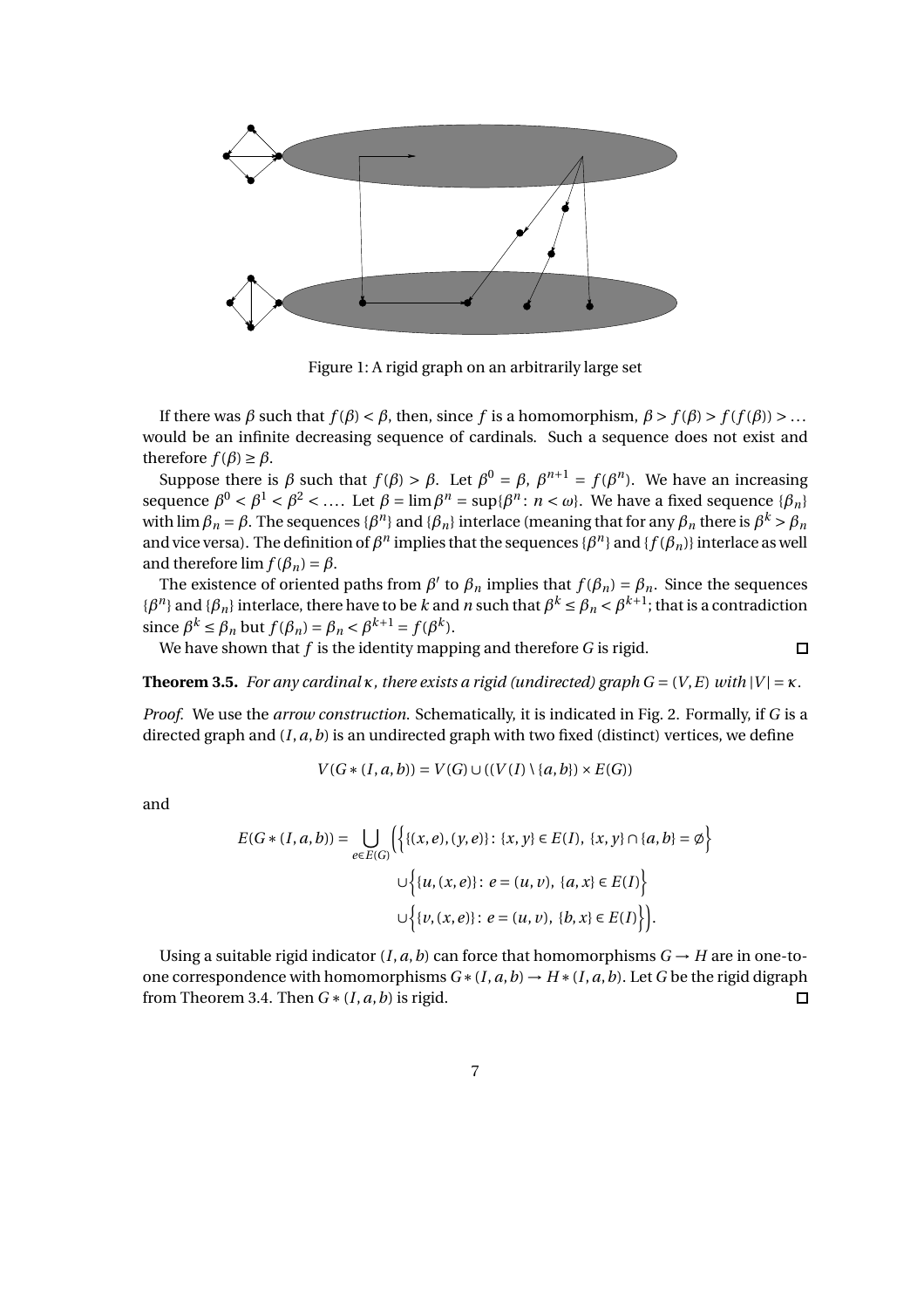

Figure 1: A rigid graph on an arbitrarily large set

If there was *β* such that  $f(\beta) < \beta$ , then, since *f* is a homomorphism,  $\beta > f(\beta) > f(f(\beta)) > ...$ would be an infinite decreasing sequence of cardinals. Such a sequence does not exist and therefore  $f(\beta) \ge \beta$ .

Suppose there is  $\beta$  such that  $f(\beta) > \beta$ . Let  $\beta^0 = \beta$ ,  $\beta^{n+1} = f(\beta^n)$ . We have an increasing sequence  $β^0 < β^1 < β^2 < ...$ . Let  $β = \lim β^n = \sup{β^n : n < ω}$ . We have a fixed sequence  ${β_n}$ with lim  $\beta_n=\beta.$  The sequences  $\{\beta^n\}$  and  $\{\beta_n\}$  interlace (meaning that for any  $\beta_n$  there is  $\beta^k>\beta_n$ and vice versa). The definition of  $\beta^n$  implies that the sequences { $\beta^n$ } and { $f(\beta_n)$ } interlace as well and therefore  $\lim f(\beta_n) = \beta$ .

The existence of oriented paths from  $\beta'$  to  $\beta_n$  implies that  $f(\beta_n) = \beta_n$ . Since the sequences *{β<sup>n</sup>}* and *{β<sub>n</sub>}* interlace, there have to be *k* and *n* such that  $β^k ≤ β_n < β^{k+1}$ ; that is a contradiction since  $\beta^k \le \beta_n$  but  $f(\beta_n) = \beta_n < \beta^{k+1} = f(\beta^k)$ .

We have shown that *f* is the identity mapping and therefore *G* is rigid.

 $\Box$ 

**Theorem 3.5.** *For any cardinal*  $\kappa$ *, there exists a rigid (undirected) graph*  $G = (V, E)$  *with*  $|V| = \kappa$ *.* 

*Proof.* We use the *arrow construction*. Schematically, it is indicated in Fig. 2. Formally, if *G* is a directed graph and  $(I, a, b)$  is an undirected graph with two fixed (distinct) vertices, we define

$$
V(G * (I, a, b)) = V(G) \cup ((V(I) \setminus \{a, b\}) \times E(G))
$$

and

$$
E(G * (I, a, b)) = \bigcup_{e \in E(G)} \Biggl\{ \biggl\{ \{x, e\}, (y, e) \} : \{x, y\} \in E(I), \{x, y\} \cap \{a, b\} = \emptyset \Biggr\}
$$

$$
\cup \Biggl\{ \{u, (x, e) \} : e = (u, v), \{a, x\} \in E(I) \Biggr\}
$$

$$
\cup \Biggl\{ \{v, (x, e) \} : e = (u, v), \{b, x\} \in E(I) \Biggr\}.
$$

Using a suitable rigid indicator  $(I, a, b)$  can force that homomorphisms  $G \rightarrow H$  are in one-toone correspondence with homomorphisms  $G*(I, a, b) \to H*(I, a, b)$ . Let *G* be the rigid digraph from Theorem 3.4. Then  $G * (I, a, b)$  is rigid. П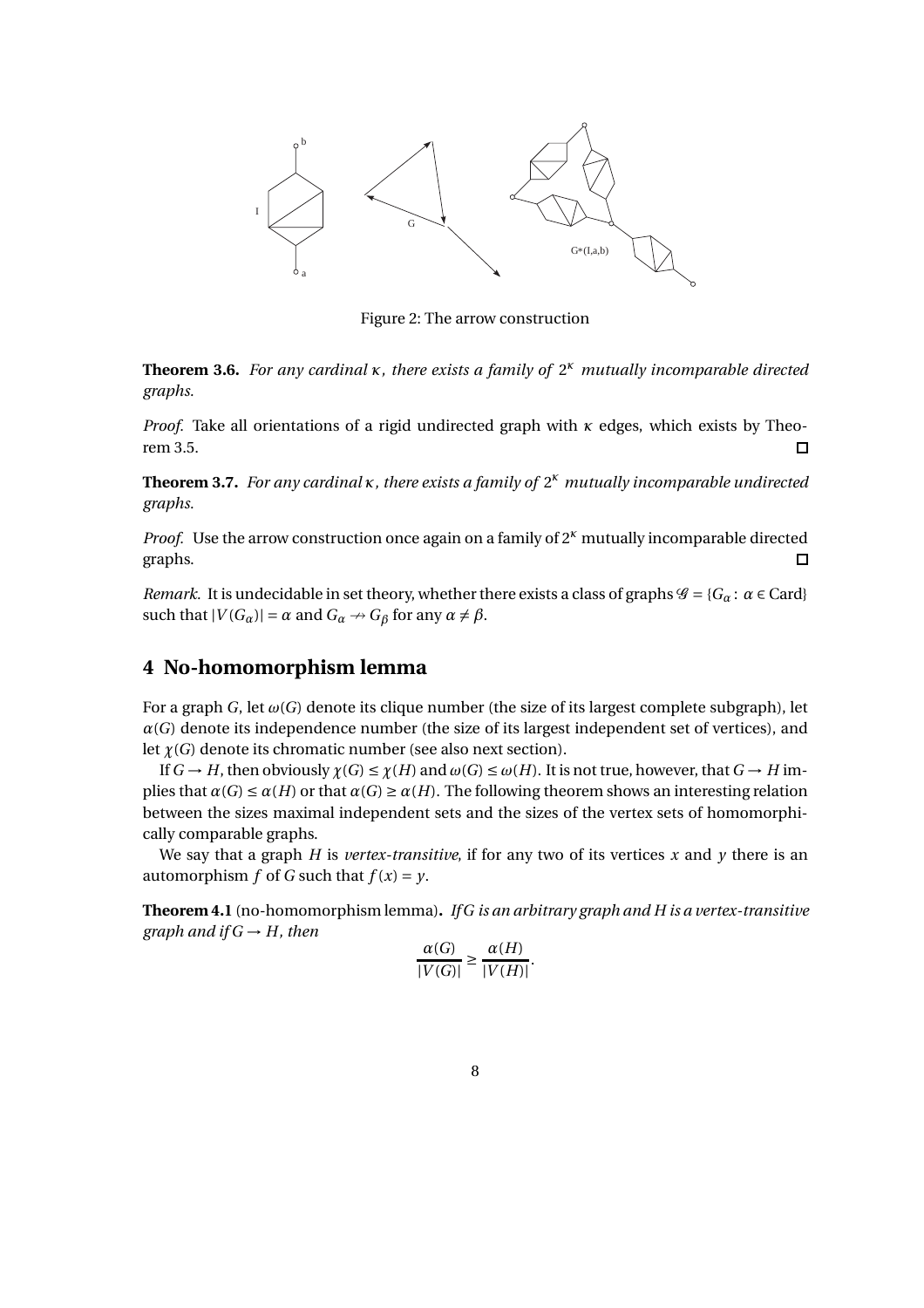

Figure 2: The arrow construction

**Theorem 3.6.** *For any cardinal κ, there exists a family of* 2 *<sup>κ</sup> mutually incomparable directed graphs.*

*Proof.* Take all orientations of a rigid undirected graph with *κ* edges, which exists by Theorem 3.5.  $\Box$ 

**Theorem 3.7.** *For any cardinal κ, there exists a family of* 2 *<sup>κ</sup> mutually incomparable undirected graphs.*

*Proof.* Use the arrow construction once again on a family of  $2<sup>k</sup>$  mutually incomparable directed graphs.  $\Box$ 

*Remark.* It is undecidable in set theory, whether there exists a class of graphs  $\mathcal{G} = \{G_\alpha : \alpha \in \text{Card}\}$ such that  $|V(G_\alpha)| = \alpha$  and  $G_\alpha \rightarrow G_\beta$  for any  $\alpha \neq \beta$ .

# **4 No-homomorphism lemma**

For a graph *G*, let  $\omega(G)$  denote its clique number (the size of its largest complete subgraph), let  $\alpha(G)$  denote its independence number (the size of its largest independent set of vertices), and let  $\chi(G)$  denote its chromatic number (see also next section).

If  $G \to H$ , then obviously  $\chi(G) \leq \chi(H)$  and  $\omega(G) \leq \omega(H)$ . It is not true, however, that  $G \to H$  implies that  $\alpha(G) \leq \alpha(H)$  or that  $\alpha(G) \geq \alpha(H)$ . The following theorem shows an interesting relation between the sizes maximal independent sets and the sizes of the vertex sets of homomorphically comparable graphs.

We say that a graph *H* is *vertex-transitive*, if for any two of its vertices x and  $\gamma$  there is an automorphism *f* of *G* such that  $f(x) = y$ .

**Theorem 4.1** (no-homomorphism lemma)**.** *If G is an arbitrary graph and H is a vertex-transitive graph and if*  $G \rightarrow H$ *, then* 

$$
\frac{\alpha(G)}{|V(G)|} \ge \frac{\alpha(H)}{|V(H)|}.
$$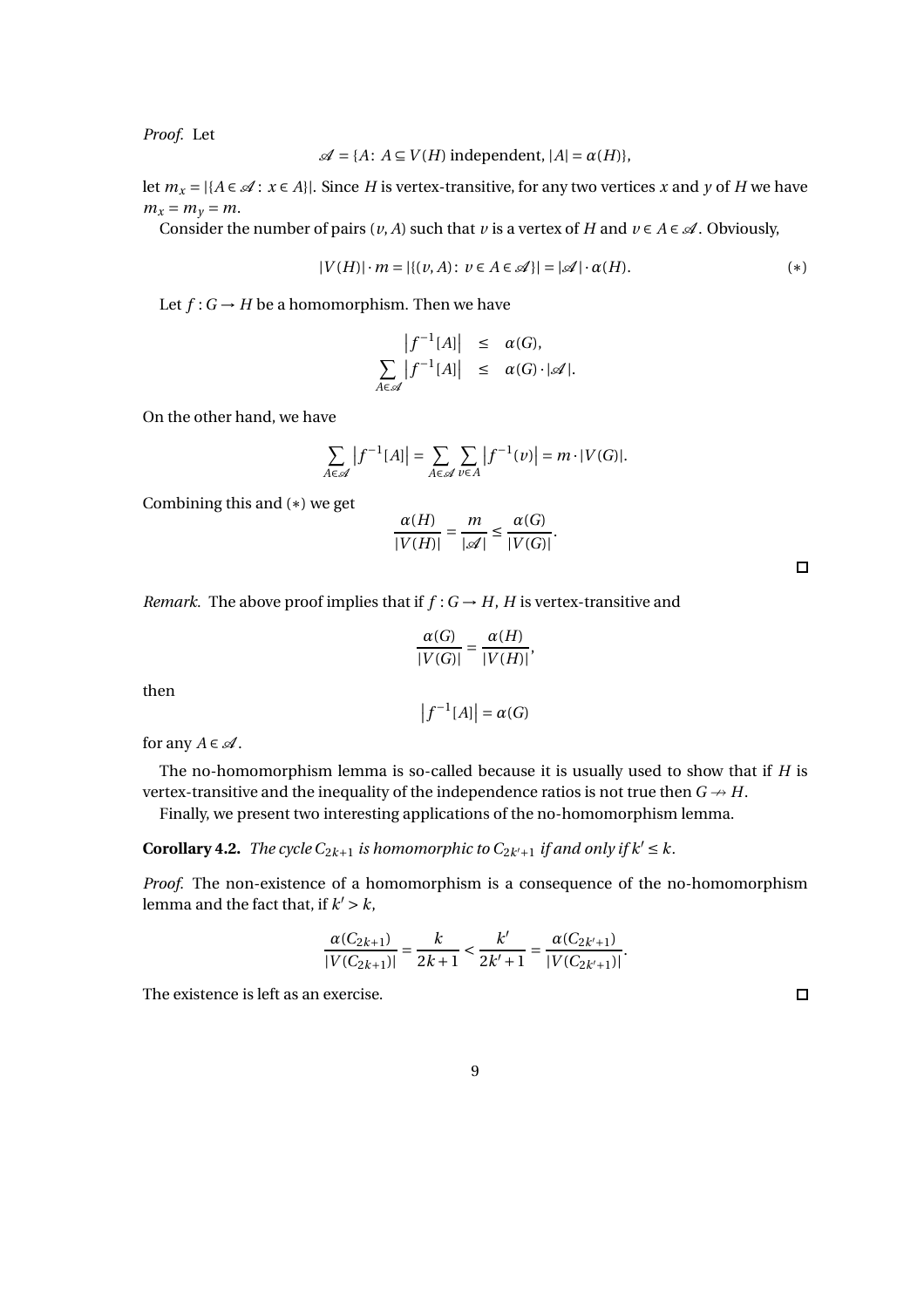*Proof.* Let

$$
\mathcal{A} = \{A \colon A \subseteq V(H) \text{ independent, } |A| = \alpha(H)\},
$$

let  $m_x = |\{A \in \mathcal{A} : x \in A\}|$ . Since *H* is vertex-transitive, for any two vertices *x* and *y* of *H* we have  $m_x = m_y = m$ .

Consider the number of pairs  $(v, A)$  such that  $v$  is a vertex of  $H$  and  $v \in A \in \mathcal{A}$ . Obviously,

$$
|V(H)| \cdot m = |\{(v, A): v \in A \in \mathcal{A}\}| = |\mathcal{A}| \cdot \alpha(H). \tag{*}
$$

Let  $f: G \to H$  be a homomorphism. Then we have

$$
\left|\begin{array}{rcl}\left|f^{-1}[A]\right| & \leq & \alpha(G), \\
\sum_{A \in \mathscr{A}} \left|f^{-1}[A]\right| & \leq & \alpha(G) \cdot |\mathscr{A}|.\n\end{array}\right.
$$

On the other hand, we have

$$
\sum_{A \in \mathscr{A}} |f^{-1}[A]| = \sum_{A \in \mathscr{A}} \sum_{v \in A} |f^{-1}(v)| = m \cdot |V(G)|.
$$

Combining this and (∗) we get

$$
\frac{\alpha(H)}{|V(H)|} = \frac{m}{|\mathscr{A}|} \le \frac{\alpha(G)}{|V(G)|}.
$$

*Remark.* The above proof implies that if  $f : G \rightarrow H$ , *H* is vertex-transitive and

$$
\frac{\alpha(G)}{|V(G)|} = \frac{\alpha(H)}{|V(H)|},
$$

then

 $|f^{-1}[A]| = \alpha(G)$ 

for any  $A \in \mathcal{A}$ .

The no-homomorphism lemma is so-called because it is usually used to show that if *H* is vertex-transitive and the inequality of the independence ratios is not true then  $G \rightarrow H$ .

Finally, we present two interesting applications of the no-homomorphism lemma.

**Corollary 4.2.** *The cycle*  $C_{2k+1}$  *is homomorphic to*  $C_{2k'+1}$  *if and only if*  $k' \leq k$ *.* 

*Proof.* The non-existence of a homomorphism is a consequence of the no-homomorphism lemma and the fact that, if  $k' > k$ ,

$$
\frac{\alpha(C_{2k+1})}{|V(C_{2k+1})|} = \frac{k}{2k+1} < \frac{k'}{2k'+1} = \frac{\alpha(C_{2k'+1})}{|V(C_{2k'+1})|}.
$$

The existence is left as an exercise.

 $\Box$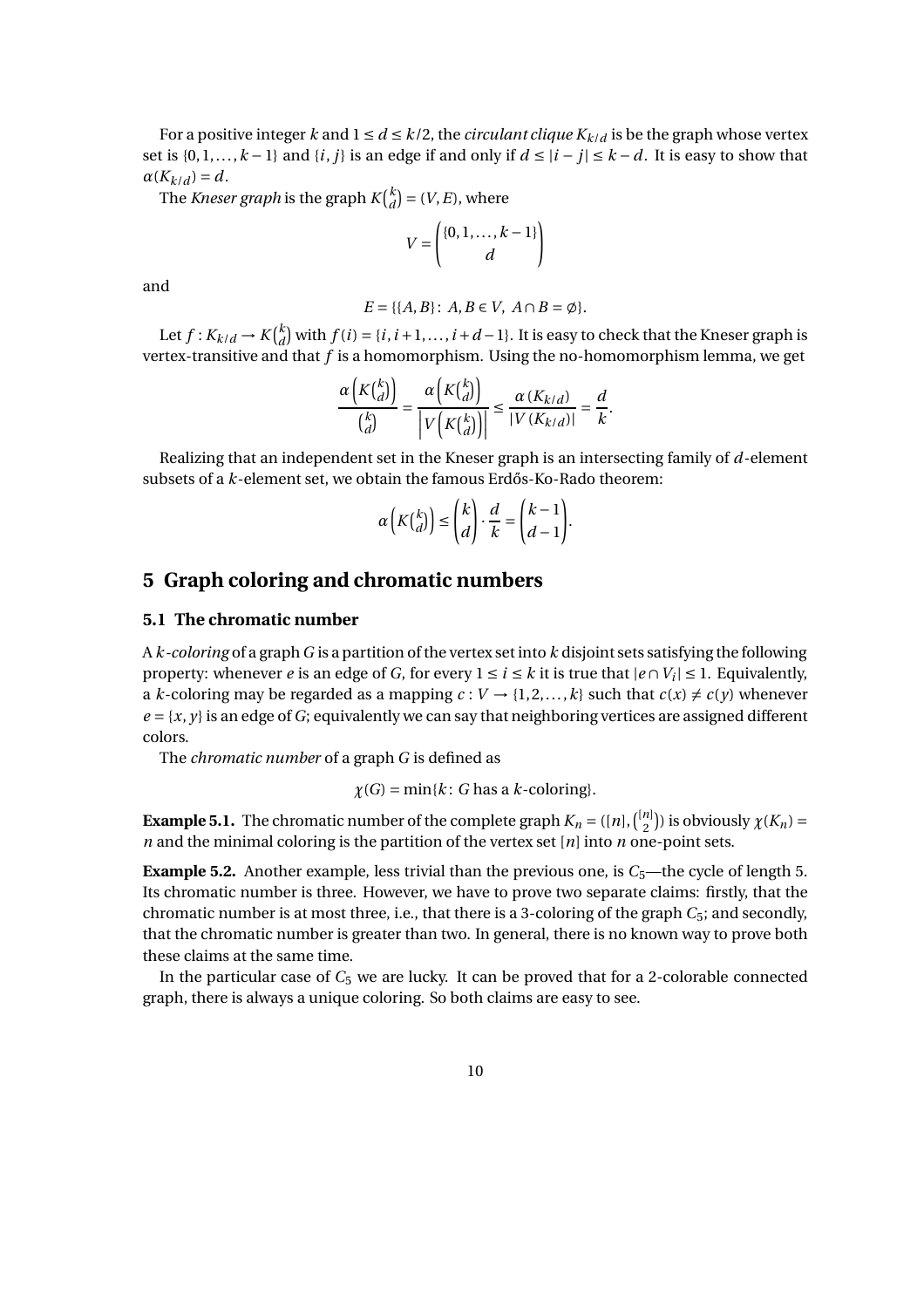For a positive integer *k* and  $1 \le d \le k/2$ , the *circulant clique*  $K_{k/d}$  is be the graph whose vertex set is  $\{0,1,\ldots,k-1\}$  and  $\{i,j\}$  is an edge if and only if  $d ≤ |i-j| ≤ k-d$ . It is easy to show that  $\alpha(K_{k/d}) = d$ .

The *Kneser graph* is the graph  $K\binom{k}{d}$  $\binom{k}{d}$  = (*V*, *E*), where

$$
V = \begin{pmatrix} \{0, 1, \dots, k-1\} \\ d \end{pmatrix}
$$

and

$$
E = \{ \{A, B\} \colon A, B \in V, A \cap B = \emptyset \}.
$$

Let  $f: K_{k/d} \to K\binom{k}{d}$  $_{d}^{k}$ ) with  $f(i) = \{i, i+1, ..., i+d-1\}$ . It is easy to check that the Kneser graph is vertex-transitive and that *f* is a homomorphism. Using the no-homomorphism lemma, we get

$$
\frac{\alpha\left(K\binom{k}{d}\right)}{\binom{k}{d}} = \frac{\alpha\left(K\binom{k}{d}\right)}{\left|V\left(K\binom{k}{d}\right)\right|} \le \frac{\alpha\left(K_{k/d}\right)}{\left|V\left(K_{k/d}\right)\right|} = \frac{d}{k}.
$$

Realizing that an independent set in the Kneser graph is an intersecting family of *d*-element subsets of a *k*-element set, we obtain the famous Erdős-Ko-Rado theorem:

$$
\alpha\left(K{k \choose d}\right) \leq {k \choose d} \cdot \frac{d}{k} = {k-1 \choose d-1}.
$$

# **5 Graph coloring and chromatic numbers**

## **5.1 The chromatic number**

A *k-coloring* of a graph*G* is a partition of the vertex set into *k* disjoint sets satisfying the following property: whenever *e* is an edge of *G*, for every  $1 \le i \le k$  it is true that  $|e \cap V_i| \le 1$ . Equivalently, a *k*-coloring may be regarded as a mapping  $c: V \rightarrow \{1, 2, ..., k\}$  such that  $c(x) \neq c(y)$  whenever  $e = \{x, y\}$  is an edge of *G*; equivalently we can say that neighboring vertices are assigned different colors.

The *chromatic number* of a graph *G* is defined as

$$
\chi(G) = \min\{k : G \text{ has a } k\text{-coloring}\}.
$$

**Example 5.1.** The chromatic number of the complete graph  $K_n = ([n], \binom{[n]}{2})$  $\binom{n}{2}$ ) is obviously  $\chi(K_n) =$ *n* and the minimal coloring is the partition of the vertex set [*n*] into *n* one-point sets.

**Example 5.2.** Another example, less trivial than the previous one, is  $C_5$ —the cycle of length 5. Its chromatic number is three. However, we have to prove two separate claims: firstly, that the chromatic number is at most three, i.e., that there is a 3-coloring of the graph *C*5; and secondly, that the chromatic number is greater than two. In general, there is no known way to prove both these claims at the same time.

In the particular case of  $C_5$  we are lucky. It can be proved that for a 2-colorable connected graph, there is always a unique coloring. So both claims are easy to see.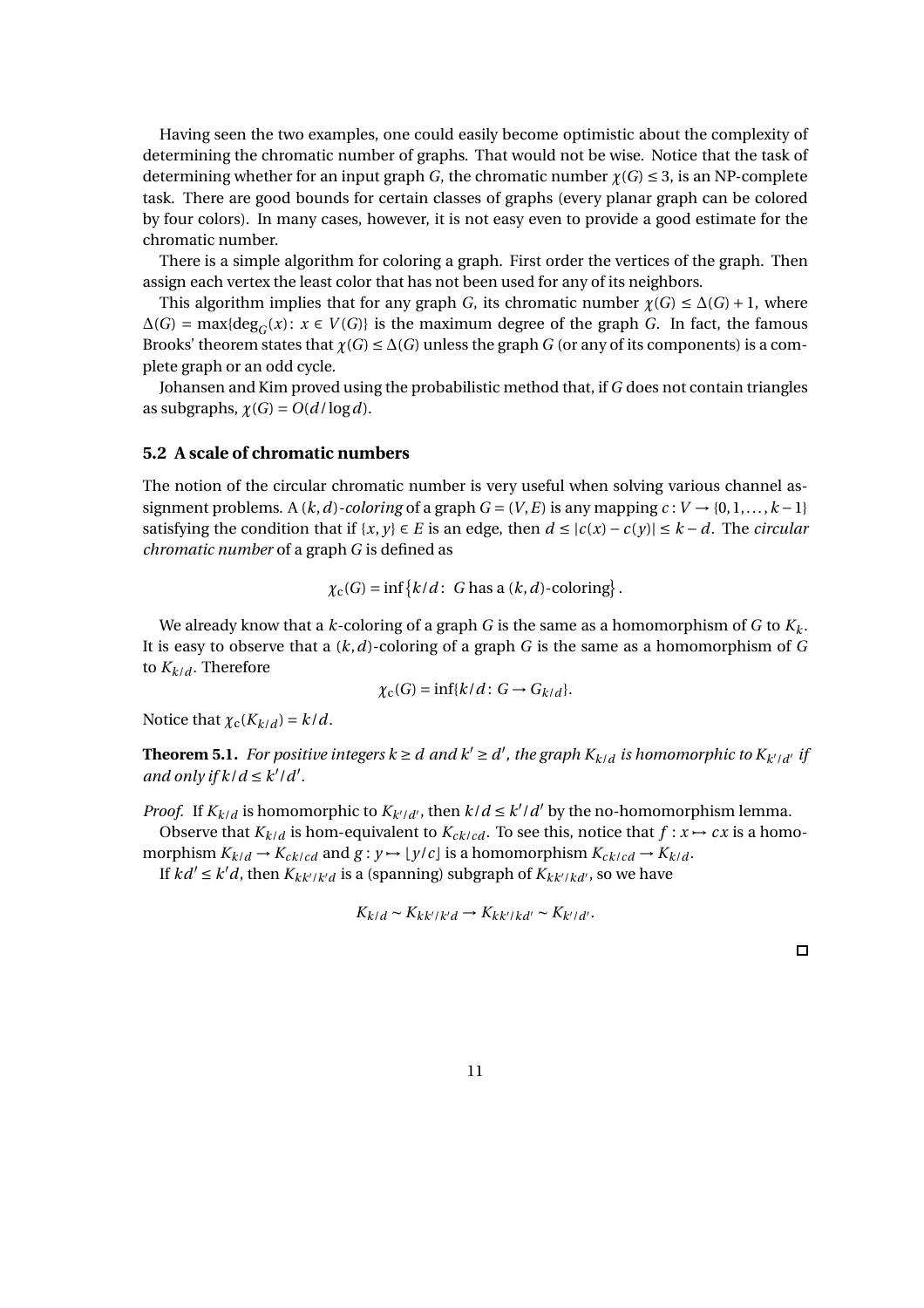Having seen the two examples, one could easily become optimistic about the complexity of determining the chromatic number of graphs. That would not be wise. Notice that the task of determining whether for an input graph *G*, the chromatic number  $\gamma(G) \leq 3$ , is an NP-complete task. There are good bounds for certain classes of graphs (every planar graph can be colored by four colors). In many cases, however, it is not easy even to provide a good estimate for the chromatic number.

There is a simple algorithm for coloring a graph. First order the vertices of the graph. Then assign each vertex the least color that has not been used for any of its neighbors.

This algorithm implies that for any graph *G*, its chromatic number  $\chi(G) \leq \Delta(G) + 1$ , where  $\Delta(G) = \max\{\deg_G(x): x \in V(G)\}\$ is the maximum degree of the graph *G*. In fact, the famous Brooks' theorem states that  $\chi(G) \leq \Delta(G)$  unless the graph *G* (or any of its components) is a complete graph or an odd cycle.

Johansen and Kim proved using the probabilistic method that, if *G* does not contain triangles as subgraphs,  $\chi(G) = O(d/\log d)$ .

## **5.2 A scale of chromatic numbers**

The notion of the circular chromatic number is very useful when solving various channel assignment problems. A  $(k, d)$ *-coloring* of a graph  $G = (V, E)$  is any mapping  $c: V \rightarrow \{0, 1, \ldots, k-1\}$ satisfying the condition that if  $\{x, y\} \in E$  is an edge, then  $d \leq |c(x) - c(y)| \leq k - d$ . The *circular chromatic number* of a graph *G* is defined as

$$
\chi_{\rm c}(G) = \inf \{k/d: G \text{ has a } (k, d)\text{-coloring}\}.
$$

We already know that a  $k$ -coloring of a graph G is the same as a homomorphism of G to  $K_k$ . It is easy to observe that a (*k*,*d*)-coloring of a graph *G* is the same as a homomorphism of *G* to  $K_{k/d}$ . Therefore

$$
\chi_{\rm c}(G) = \inf\{k/d : G \to G_{k/d}\}.
$$

Notice that  $\chi_c(K_{k/d}) = k/d$ .

**Theorem 5.1.** For positive integers  $k \geq d$  and  $k' \geq d'$ , the graph  $K_{k/d}$  is homomorphic to  $K_{k'/d'}$  if *and only if*  $k/d \leq k'/d'$ .

*Proof.* If  $K_{k/d}$  is homomorphic to  $K_{k'/d'}$ , then  $k/d \leq k'/d'$  by the no-homomorphism lemma.

Observe that  $K_{k/d}$  is hom-equivalent to  $K_{ck/cd}$ . To see this, notice that  $f: x \mapsto cx$  is a homomorphism  $K_{k/d} \rightarrow K_{ck/cd}$  and  $g: y \mapsto \lfloor y/c \rfloor$  is a homomorphism  $K_{ck/cd} \rightarrow K_{k/d}$ .

If  $kd' \leq k'd$ , then  $K_{kk'/k'd}$  is a (spanning) subgraph of  $K_{kk'/k'd'}$ , so we have

$$
K_{k/d} \sim K_{kk'/k'd} \to K_{kk'/kd'} \sim K_{k'/d'}.
$$

 $\Box$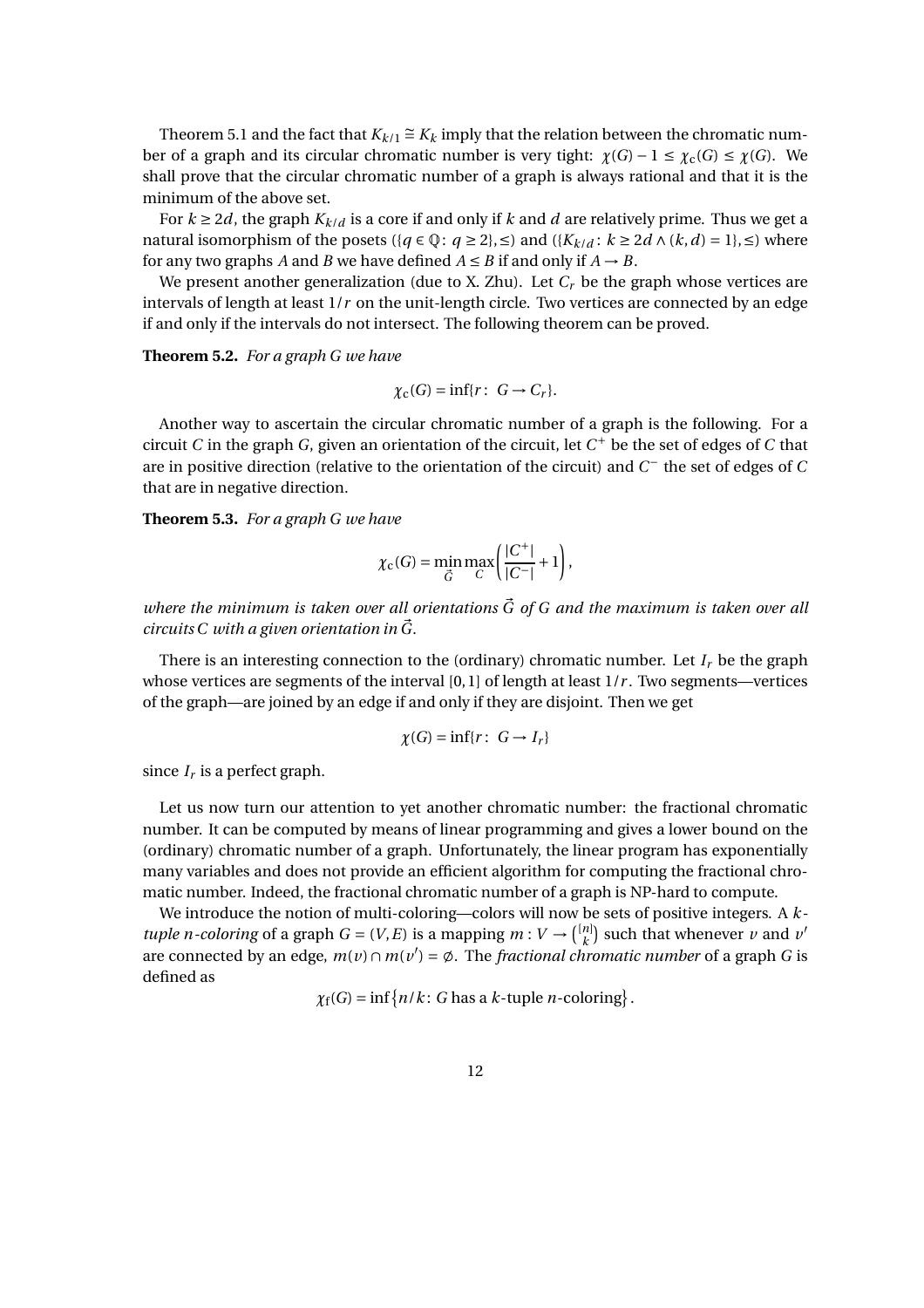Theorem 5.1 and the fact that  $K_{k/1} \cong K_k$  imply that the relation between the chromatic number of a graph and its circular chromatic number is very tight:  $\chi(G) - 1 \leq \chi_c(G) \leq \chi(G)$ . We shall prove that the circular chromatic number of a graph is always rational and that it is the minimum of the above set.

For  $k \geq 2d$ , the graph  $K_{k/d}$  is a core if and only if  $k$  and  $d$  are relatively prime. Thus we get a natural isomorphism of the posets ({*q* ∈ Q: *q* ≥ 2}, ≤) and ({ $K_{k/d}$ :  $k \ge 2d \land (k, d) = 1$ }, ≤) where for any two graphs *A* and *B* we have defined  $A \leq B$  if and only if  $A \rightarrow B$ .

We present another generalization (due to X. Zhu). Let  $C_r$  be the graph whose vertices are intervals of length at least 1/*r* on the unit-length circle. Two vertices are connected by an edge if and only if the intervals do not intersect. The following theorem can be proved.

**Theorem 5.2.** *For a graph G we have*

$$
\chi_{\mathbf{c}}(G) = \inf\{r: G \to C_r\}.
$$

Another way to ascertain the circular chromatic number of a graph is the following. For a circuit *C* in the graph *G*, given an orientation of the circuit, let *C* <sup>+</sup> be the set of edges of *C* that are in positive direction (relative to the orientation of the circuit) and *C* <sup>−</sup> the set of edges of *C* that are in negative direction.

**Theorem 5.3.** *For a graph G we have*

$$
\chi_{\rm c}(G) = \min_{\vec{G}} \max_{C} \left( \frac{|C^+|}{|C^-|} + 1 \right),\,
$$

*where the minimum is taken over all orientations G of G and the maximum is taken over all* <sup>~</sup> *circuits C with a given orientation in*  $\vec{G}$ .

There is an interesting connection to the (ordinary) chromatic number. Let  $I_r$  be the graph whose vertices are segments of the interval [0,1] of length at least  $1/r$ . Two segments—vertices of the graph—are joined by an edge if and only if they are disjoint. Then we get

$$
\chi(G) = \inf\{r: G \to I_r\}
$$

since *I<sup>r</sup>* is a perfect graph.

Let us now turn our attention to yet another chromatic number: the fractional chromatic number. It can be computed by means of linear programming and gives a lower bound on the (ordinary) chromatic number of a graph. Unfortunately, the linear program has exponentially many variables and does not provide an efficient algorithm for computing the fractional chromatic number. Indeed, the fractional chromatic number of a graph is NP-hard to compute.

We introduce the notion of multi-coloring—colors will now be sets of positive integers. A *ktuple n-coloring* of a graph  $G = (V, E)$  is a mapping  $m: V \rightarrow \binom{[n]}{k}$  $\binom{n}{k}$  such that whenever *v* and *v*<sup>'</sup> are connected by an edge,  $m(v) \cap m(v') = \emptyset$ . The *fractional chromatic number* of a graph *G* is defined as

 $\chi_f(G) = \inf \{ n/k : G \text{ has a } k\text{-tuple } n\text{-coloring} \}.$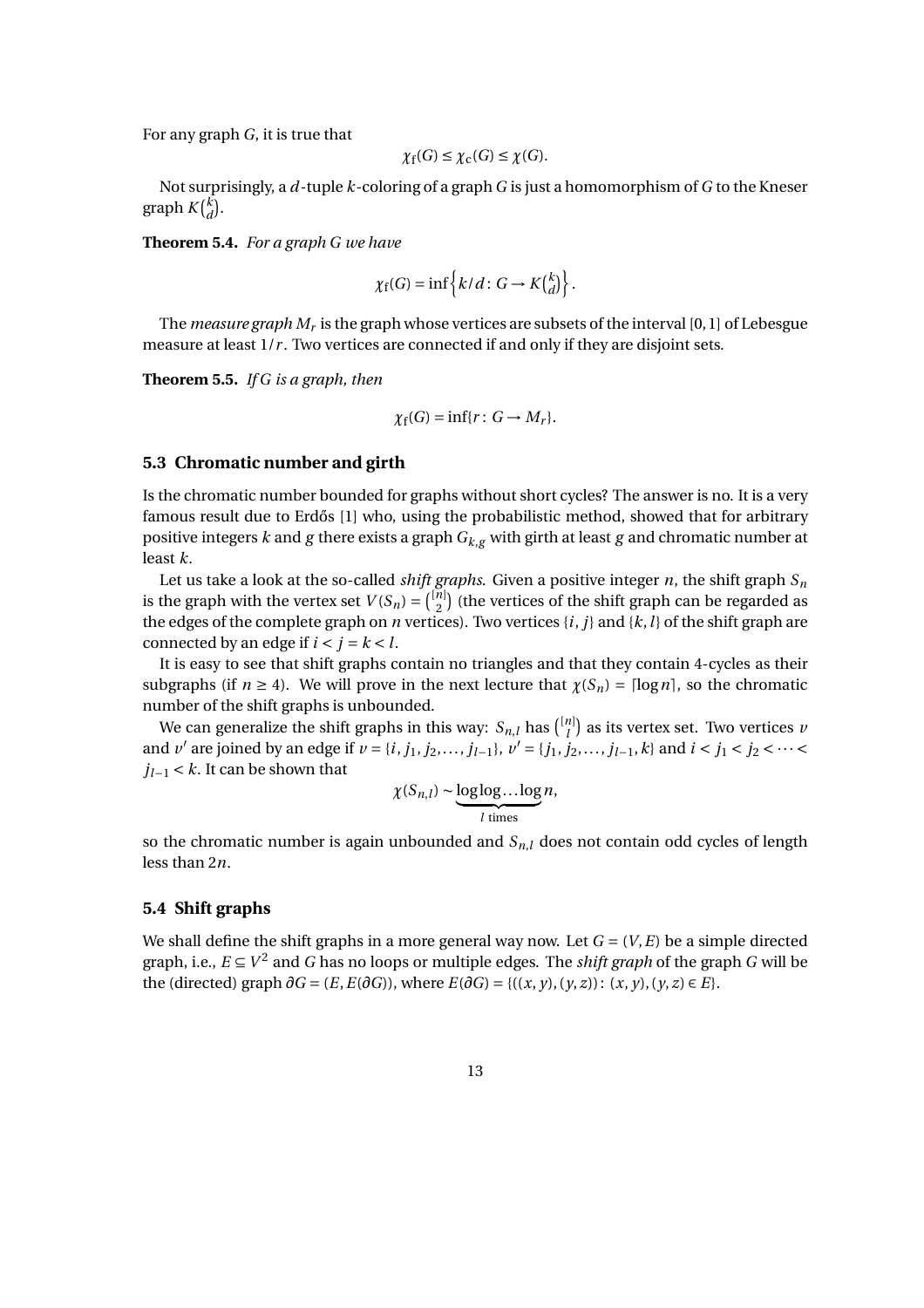For any graph *G*, it is true that

$$
\chi_f(G) \leq \chi_c(G) \leq \chi(G).
$$

Not surprisingly, a *d*-tuple *k*-coloring of a graph *G* is just a homomorphism of *G* to the Kneser  $\operatorname{graph} K\binom{k}{d}$  $\binom{k}{d}$ .

**Theorem 5.4.** *For a graph G we have*

$$
\chi_{\rm f}(G) = \inf \left\{ k/d : G \to K{k \choose d} \right\}.
$$

The *measure graph*  $M_r$  *is the graph whose vertices are subsets of the interval [0, 1] of Lebesgue* measure at least  $1/r$ . Two vertices are connected if and only if they are disjoint sets.

**Theorem 5.5.** *If G is a graph, then*

$$
\chi_f(G) = \inf\{r: G \to M_r\}.
$$

#### **5.3 Chromatic number and girth**

Is the chromatic number bounded for graphs without short cycles? The answer is no. It is a very famous result due to Erdős [1] who, using the probabilistic method, showed that for arbitrary positive integers *k* and *g* there exists a graph *Gk*,*<sup>g</sup>* with girth at least *g* and chromatic number at least *k*.

Let us take a look at the so-called *shift graphs*. Given a positive integer  $n$ , the shift graph  $S_n$ is the graph with the vertex set  $V(S_n) = \binom{[n]}{2}$  $\binom{n}{2}$  (the vertices of the shift graph can be regarded as the edges of the complete graph on *n* vertices). Two vertices  $\{i, j\}$  and  $\{k, l\}$  of the shift graph are connected by an edge if  $i < j = k < l$ .

It is easy to see that shift graphs contain no triangles and that they contain 4-cycles as their subgraphs (if  $n \ge 4$ ). We will prove in the next lecture that  $\chi(S_n) = \lceil \log n \rceil$ , so the chromatic number of the shift graphs is unbounded.

We can generalize the shift graphs in this way:  $S_{n,l}$  has  $\binom{[n]}{l}$  $\binom{n}{l}$  as its vertex set. Two vertices *v* and *v'* are joined by an edge if  $v = \{i, j_1, j_2, ..., j_{l-1}\}, v' = \{j_1, j_2, ..., j_{l-1}, k\}$  and  $i < j_1 < j_2 < ... <$ *jl*−<sup>1</sup> < *k*. It can be shown that

$$
\chi(S_{n,l}) \sim \underbrace{\log \log \dots \log}_{l \text{ times}} n,
$$

so the chromatic number is again unbounded and *Sn*,*<sup>l</sup>* does not contain odd cycles of length less than 2*n*.

## **5.4 Shift graphs**

We shall define the shift graphs in a more general way now. Let  $G = (V, E)$  be a simple directed graph, i.e.,  $E \subseteq V^2$  and  $G$  has no loops or multiple edges. The *shift graph* of the graph  $G$  will be the (directed) graph  $\partial G = (E, E(\partial G))$ , where  $E(\partial G) = \{((x, y), (y, z)): (x, y), (y, z) \in E\}$ .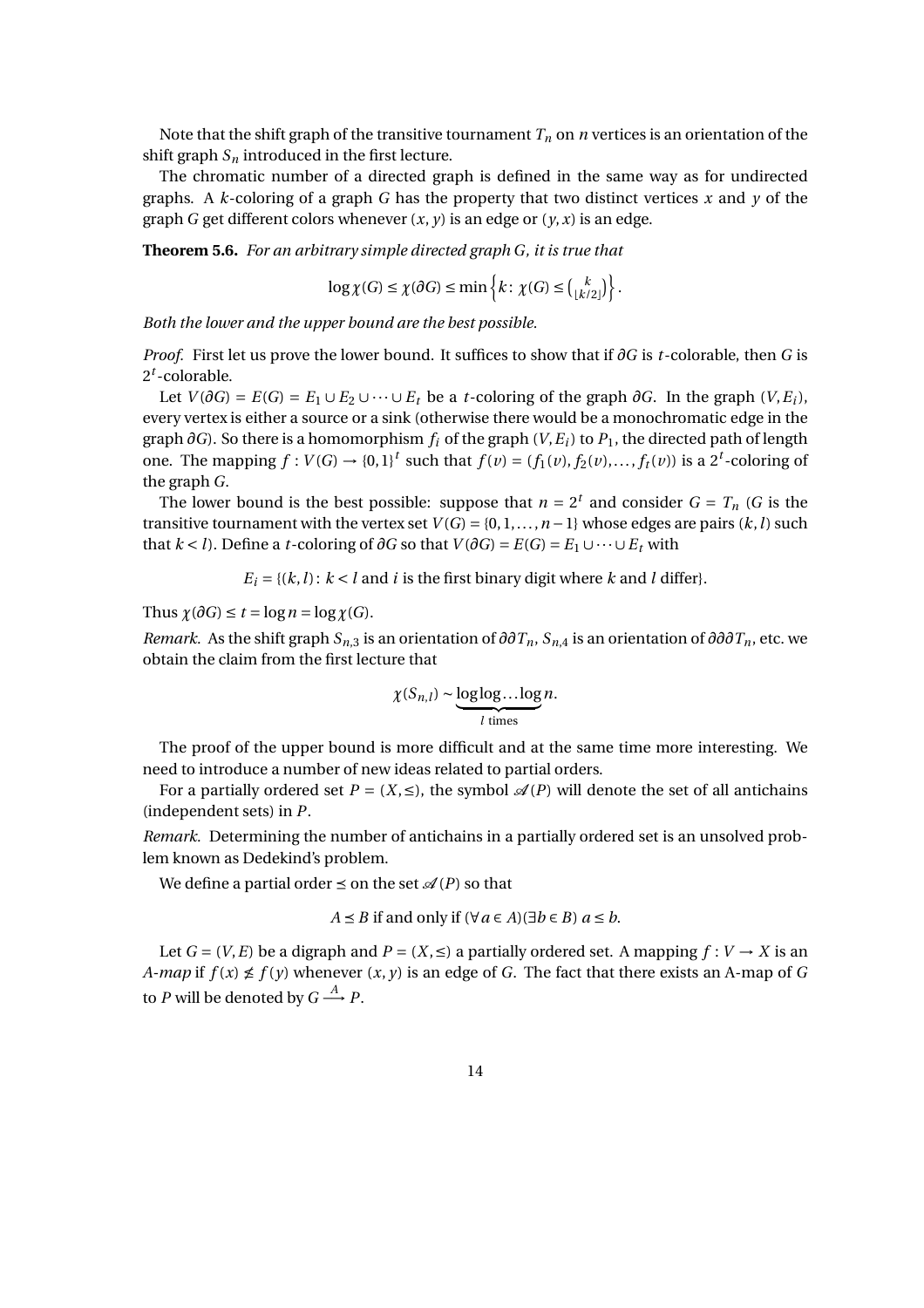Note that the shift graph of the transitive tournament  $T_n$  on *n* vertices is an orientation of the shift graph  $S_n$  introduced in the first lecture.

The chromatic number of a directed graph is defined in the same way as for undirected graphs. A  $k$ -coloring of a graph  $G$  has the property that two distinct vertices  $x$  and  $y$  of the graph *G* get different colors whenever  $(x, y)$  is an edge or  $(y, x)$  is an edge.

**Theorem 5.6.** *For an arbitrary simple directed graph G, it is true that*

$$
\log \chi(G) \leq \chi(\partial G) \leq \min \left\{ k \colon \chi(G) \leq {k \choose \lfloor k/2 \rfloor} \right\}.
$$

*Both the lower and the upper bound are the best possible.*

*Proof.* First let us prove the lower bound. It suffices to show that if ∂*G* is *t*-colorable, then *G* is 2 *t* -colorable.

Let *V*( $\partial G$ ) = *E*(*G*) = *E*<sub>1</sub> ∪ *E*<sub>2</sub> ∪ ··· ∪ *E*<sub>t</sub> be a *t*-coloring of the graph  $\partial G$ . In the graph (*V*, *E*<sub>*i*</sub>), every vertex is either a source or a sink (otherwise there would be a monochromatic edge in the graph  $\partial G$ ). So there is a homomorphism  $f_i$  of the graph  $(V, E_i)$  to  $P_1$ , the directed path of length one. The mapping  $f: V(G) \to \{0,1\}^t$  such that  $f(v) = (f_1(v), f_2(v),..., f_t(v))$  is a 2<sup>*t*</sup>-coloring of the graph *G*.

The lower bound is the best possible: suppose that  $n = 2^t$  and consider  $G = T_n$  (G is the transitive tournament with the vertex set  $V(G) = \{0, 1, \ldots, n-1\}$  whose edges are pairs  $(k, l)$  such that  $k < l$ ). Define a *t*-coloring of  $\partial G$  so that  $V(\partial G) = E(G) = E_1 \cup \cdots \cup E_t$  with

 $E_i = \{(k, l): k < l \text{ and } i \text{ is the first binary digit where } k \text{ and } l \text{ differ}\}.$ 

Thus  $\chi(\partial G) \leq t = \log n = \log \chi(G)$ .

*Remark.* As the shift graph *Sn*,3 is an orientation of *∂∂Tn*, *Sn*,4 is an orientation of *∂∂∂Tn*, etc. we obtain the claim from the first lecture that

$$
\chi(S_{n,l}) \sim \underbrace{\log \log \dots \log}_{l \text{ times}} n.
$$

The proof of the upper bound is more difficult and at the same time more interesting. We need to introduce a number of new ideas related to partial orders.

For a partially ordered set  $P = (X, \leq)$ , the symbol  $\mathscr{A}(P)$  will denote the set of all antichains (independent sets) in *P*.

*Remark.* Determining the number of antichains in a partially ordered set is an unsolved problem known as Dedekind's problem.

We define a partial order  $\leq$  on the set  $\mathcal{A}(P)$  so that

$$
A \leq B
$$
 if and only if  $(\forall a \in A)(\exists b \in B)$   $a \leq b$ .

Let  $G = (V, E)$  be a digraph and  $P = (X, \leq)$  a partially ordered set. A mapping  $f: V \to X$  is an *A-map* if  $f(x) \nleq f(y)$  whenever  $(x, y)$  is an edge of *G*. The fact that there exists an A-map of *G* to *P* will be denoted by  $G \stackrel{A}{\longrightarrow} P$ .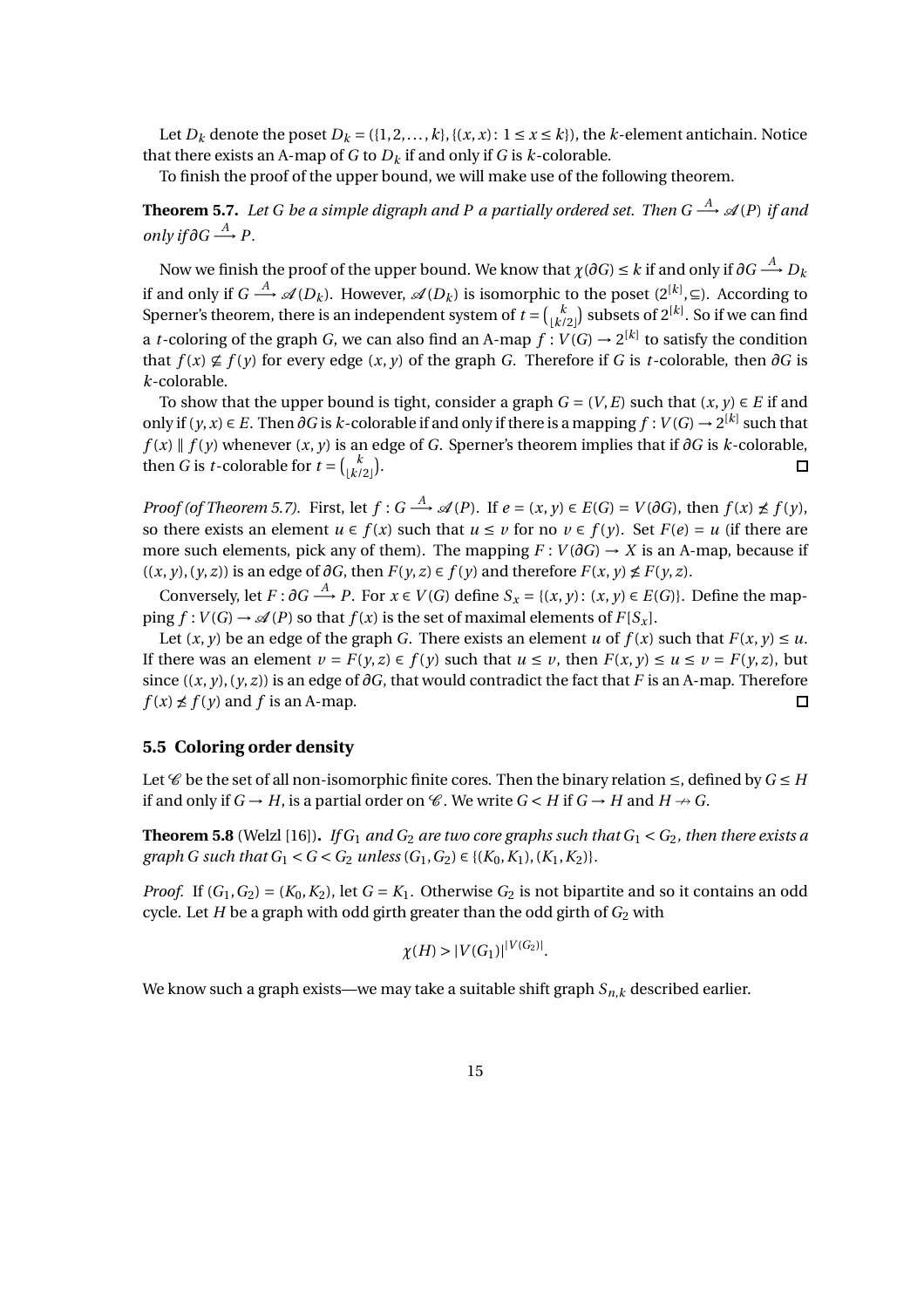Let  $D_k$  denote the poset  $D_k = (\{1, 2, ..., k\}, \{(x, x): 1 \le x \le k\})$ , the *k*-element antichain. Notice that there exists an A-map of  $G$  to  $D_k$  if and only if  $G$  is  $k$ -colorable.

To finish the proof of the upper bound, we will make use of the following theorem.

**Theorem 5.7.** Let G be a simple digraph and P a partially ordered set. Then G  $\stackrel{A}{\longrightarrow}$  A(P) if and *only if*  $\partial G \stackrel{A}{\longrightarrow} P$ .

Now we finish the proof of the upper bound. We know that  $\chi(\partial G)\leq k$  if and only if  $\partial G\stackrel{A}{\longrightarrow} D_k$ if and only if  $G\stackrel{A}{\longrightarrow} \mathscr{A}(D_k).$  However,  $\mathscr{A}(D_k)$  is isomorphic to the poset  $(2^{[k]},{\subseteq}).$  According to Sperner's theorem, there is an independent system of  $t = \binom{k}{k}$  $\binom{k}{\lfloor k/2 \rfloor}$  subsets of  $2^{\lceil k \rceil}$ . So if we can find a *t*-coloring of the graph *G*, we can also find an A-map  $f: V(G) \rightarrow 2^{[k]}$  to satisfy the condition that  $f(x) \not\subseteq f(y)$  for every edge  $(x, y)$  of the graph *G*. Therefore if *G* is *t*-colorable, then  $\partial G$  is *k*-colorable.

To show that the upper bound is tight, consider a graph  $G = (V, E)$  such that  $(x, y) \in E$  if and only if  $(y, x) \in E$ . Then ∂*G* is *k*-colorable if and only if there is a mapping  $f : V(G) \to 2^{[k]}$  such that *f*(*x*) ∥ *f*(*y*) whenever  $(x, y)$  is an edge of *G*. Sperner's theorem implies that if  $\partial G$  is *k*-colorable, then *G* is *t*-colorable for  $t = \begin{pmatrix} k \\ k \end{pmatrix}$  $\binom{k}{\lfloor k/2 \rfloor}$ .  $\Box$ 

*Proof (of Theorem 5.7).* First, let  $f: G \stackrel{A}{\longrightarrow} \mathscr{A}(P)$ . If  $e = (x, y) \in E(G) = V(\partial G)$ , then  $f(x) \not\le f(y)$ , so there exists an element  $u \in f(x)$  such that  $u \le v$  for no  $v \in f(y)$ . Set  $F(e) = u$  (if there are more such elements, pick any of them). The mapping  $F: V(\partial G) \to X$  is an A-map, because if  $((x, y), (y, z))$  is an edge of  $\partial G$ , then  $F(y, z) \in f(y)$  and therefore  $F(x, y) \nleq F(y, z)$ .

Conversely, let  $F: \partial G \stackrel{A}{\longrightarrow} P$ . For  $x \in V(G)$  define  $S_x = \{(x, y): (x, y) \in E(G)\}$ . Define the mapping  $f: V(G) \to \mathcal{A}(P)$  so that  $f(x)$  is the set of maximal elements of  $F[S_x]$ .

Let  $(x, y)$  be an edge of the graph *G*. There exists an element *u* of  $f(x)$  such that  $F(x, y) \leq u$ . If there was an element  $v = F(y, z) \in f(y)$  such that  $u \le v$ , then  $F(x, y) \le u \le v = F(y, z)$ , but since  $((x, y), (y, z))$  is an edge of  $\partial G$ , that would contradict the fact that *F* is an A-map. Therefore  $f(x) \nleq f(y)$  and *f* is an A-map.  $\Box$ 

# **5.5 Coloring order density**

Let  $\mathscr C$  be the set of all non-isomorphic finite cores. Then the binary relation  $\leq$ , defined by  $G \leq H$ if and only if  $G \rightarrow H$ , is a partial order on  $\mathcal{C}$ . We write  $G \lt H$  if  $G \rightarrow H$  and  $H \nrightarrow G$ .

**Theorem 5.8** (Welzl [16]). *If G*<sub>1</sub> *and G*<sub>2</sub> *are two core graphs such that*  $G_1 < G_2$ *, then there exists a graph G such that*  $G_1 < G < G_2$  *unless*  $(G_1, G_2) \in \{K_0, K_1, K_1, K_2\}$ .

*Proof.* If  $(G_1, G_2) = (K_0, K_2)$ , let  $G = K_1$ . Otherwise  $G_2$  is not bipartite and so it contains an odd cycle. Let *H* be a graph with odd girth greater than the odd girth of  $G_2$  with

$$
\chi(H) > |V(G_1)|^{|V(G_2)|}
$$

.

We know such a graph exists—we may take a suitable shift graph *Sn*,*<sup>k</sup>* described earlier.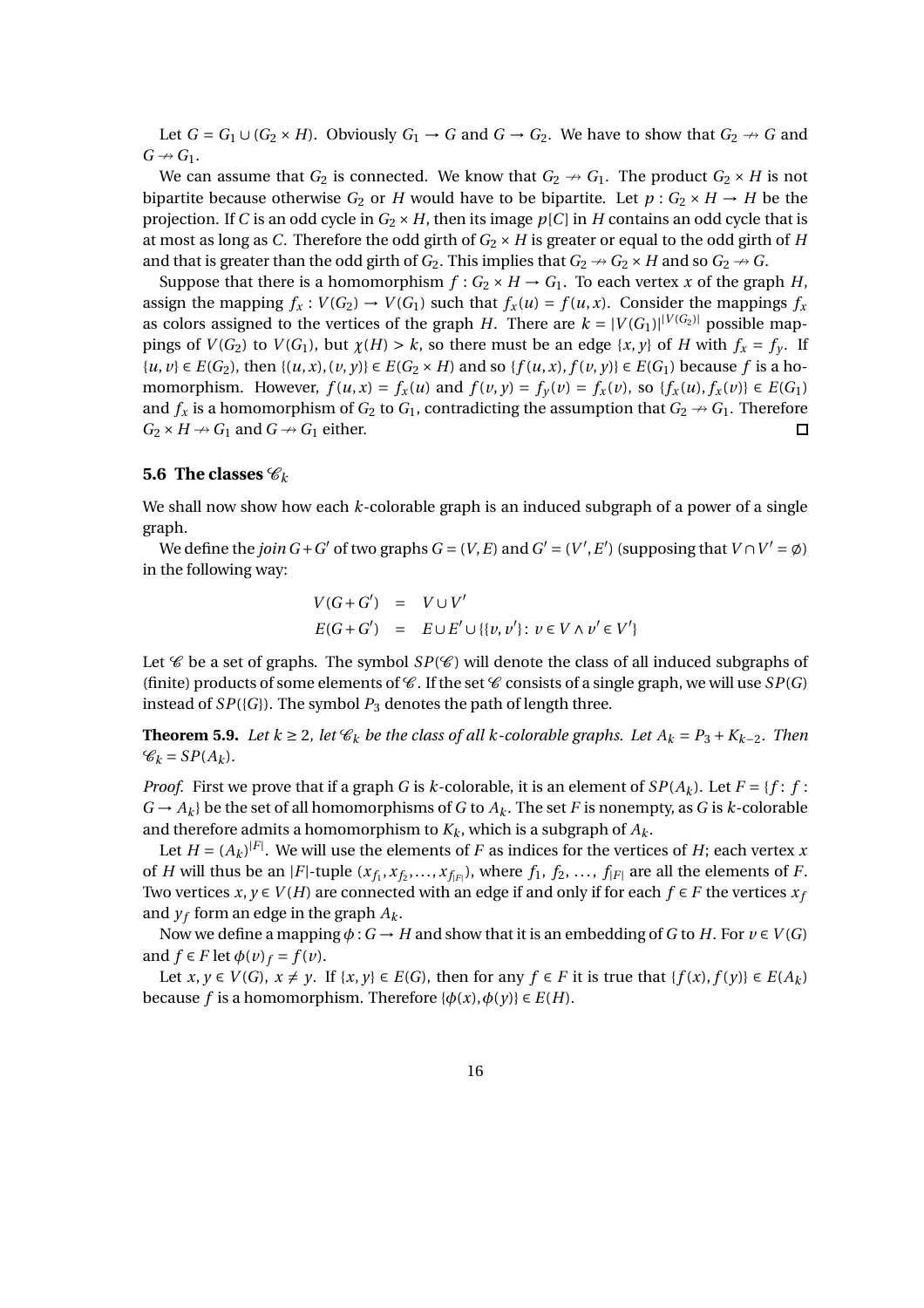Let  $G = G_1 \cup (G_2 \times H)$ . Obviously  $G_1 \rightarrow G$  and  $G \rightarrow G_2$ . We have to show that  $G_2 \rightarrow G$  and  $G \nrightarrow G_1$ .

We can assume that  $G_2$  is connected. We know that  $G_2 \rightarrow G_1$ . The product  $G_2 \times H$  is not bipartite because otherwise  $G_2$  or *H* would have to be bipartite. Let  $p: G_2 \times H \to H$  be the projection. If *C* is an odd cycle in  $G_2 \times H$ , then its image  $p[C]$  in *H* contains an odd cycle that is at most as long as *C*. Therefore the odd girth of  $G_2 \times H$  is greater or equal to the odd girth of *H* and that is greater than the odd girth of  $G_2$ . This implies that  $G_2 \rightarrow G_2 \times H$  and so  $G_2 \rightarrow G$ .

Suppose that there is a homomorphism  $f: G_2 \times H \to G_1$ . To each vertex *x* of the graph *H*, assign the mapping  $f_x$ :  $V(G_2) \rightarrow V(G_1)$  such that  $f_x(u) = f(u, x)$ . Consider the mappings  $f_x$ as colors assigned to the vertices of the graph *H*. There are  $k = |V(G_1)|^{|V(G_2)|}$  possible mappings of  $V(G_2)$  to  $V(G_1)$ , but  $\chi(H) > k$ , so there must be an edge  $\{x, y\}$  of *H* with  $f_x = f_y$ . If  $\{u, v\} \in E(G_2)$ , then  $\{(u, x), (v, y)\} \in E(G_2 \times H)$  and so  $\{f(u, x), f(v, y)\} \in E(G_1)$  because f is a homomorphism. However,  $f(u, x) = f_x(u)$  and  $f(v, y) = f_y(v) = f_x(v)$ , so  $\{f_x(u), f_x(v)\}\in E(G_1)$ and  $f_x$  is a homomorphism of  $G_2$  to  $G_1$ , contradicting the assumption that  $G_2 \rightarrow G_1$ . Therefore  $G_2 \times H \rightarrow G_1$  and  $G \rightarrow G_1$  either. □

## **5.6 The classes**  $\mathscr{C}_k$

We shall now show how each *k*-colorable graph is an induced subgraph of a power of a single graph.

We define the *join*  $G + G'$  of two graphs  $G = (V, E)$  and  $G' = (V', E')$  (supposing that  $V \cap V' = \emptyset$ ) in the following way:

$$
V(G+G') = V \cup V'
$$
  
 
$$
E(G+G') = E \cup E' \cup \{ \{v, v' \}: v \in V \land v' \in V' \}
$$

Let  $\mathscr C$  be a set of graphs. The symbol  $SP(\mathscr C)$  will denote the class of all induced subgraphs of (finite) products of some elements of  $\mathscr C$ . If the set  $\mathscr C$  consists of a single graph, we will use  $SP(G)$ instead of  $SP({G})$ . The symbol  $P_3$  denotes the path of length three.

**Theorem 5.9.** *Let*  $k \ge 2$ *, let*  $\mathcal{C}_k$  *be the class of all k-colorable graphs. Let*  $A_k = P_3 + K_{k-2}$ *. Then*  $\mathcal{C}_k = SP(A_k)$ .

*Proof.* First we prove that if a graph *G* is *k*-colorable, it is an element of  $SP(A_k)$ . Let  $F = \{f : f : f : f\}$  $G \rightarrow A_k$  be the set of all homomorphisms of *G* to  $A_k$ . The set *F* is nonempty, as *G* is *k*-colorable and therefore admits a homomorphism to  $K_k$ , which is a subgraph of  $A_k$ .

Let  $H = (A_k)^{|F|}$ . We will use the elements of *F* as indices for the vertices of *H*; each vertex *x* of *H* will thus be an |*F*|-tuple  $(x_{f_1}, x_{f_2},..., x_{f_{|F|}})$ , where  $f_1, f_2,..., f_{|F|}$  are all the elements of *F*. Two vertices  $x, y \in V(H)$  are connected with an edge if and only if for each  $f \in F$  the vertices  $x_f$ and  $y_f$  form an edge in the graph  $A_k$ .

Now we define a mapping  $\phi$  :  $G \rightarrow H$  and show that it is an embedding of *G* to *H*. For  $v \in V(G)$ and  $f \in F$  let  $\phi(v)_f = f(v)$ .

Let  $x, y \in V(G)$ ,  $x \neq y$ . If  $\{x, y\} \in E(G)$ , then for any  $f \in F$  it is true that  $\{f(x), f(y)\} \in E(A_k)$ because *f* is a homomorphism. Therefore  $\{\phi(x), \phi(y)\} \in E(H)$ .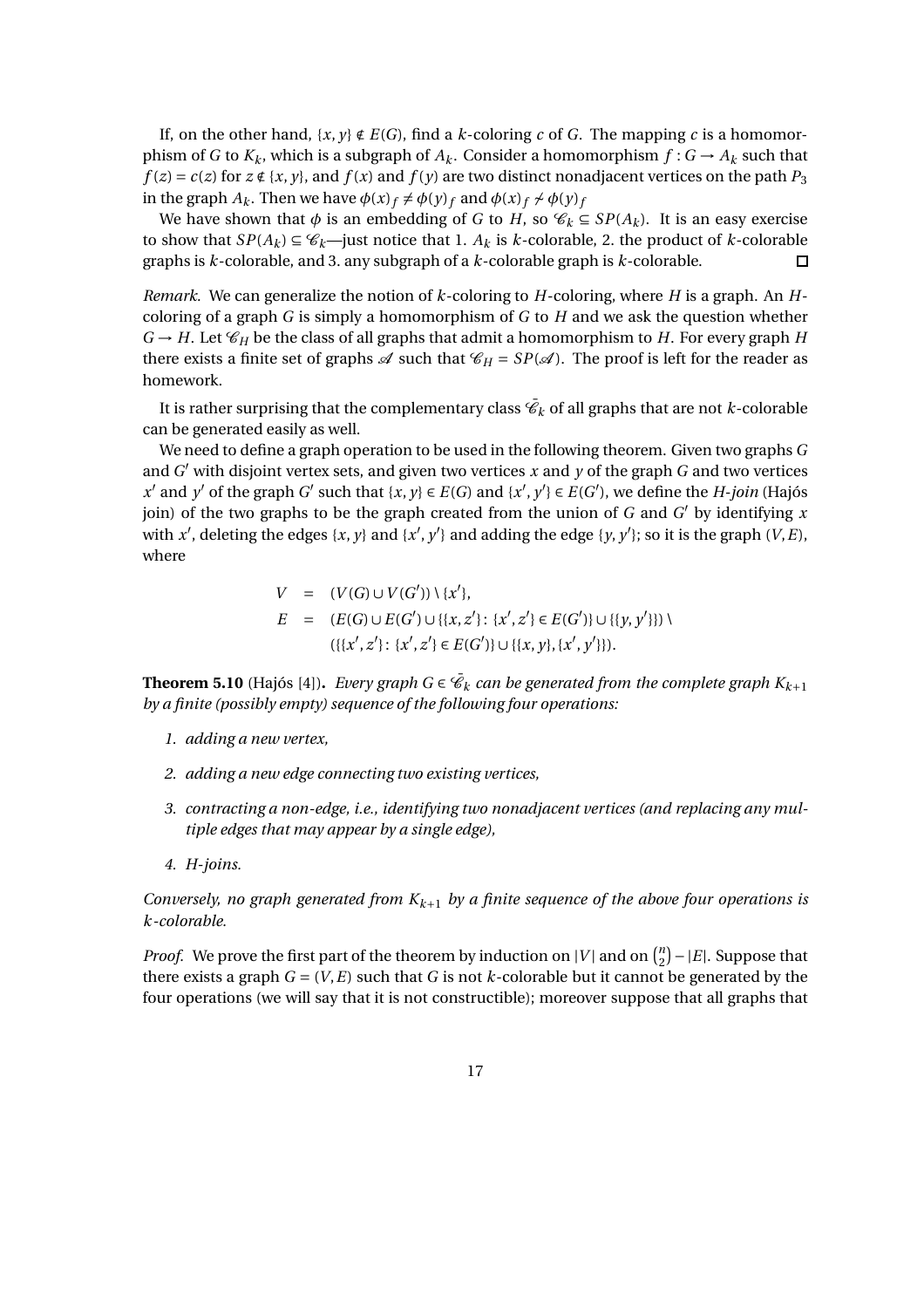If, on the other hand,  $\{x, y\} \notin E(G)$ , find a *k*-coloring *c* of *G*. The mapping *c* is a homomorphism of *G* to  $K_k$ , which is a subgraph of  $A_k$ . Consider a homomorphism  $f: G \to A_k$  such that  $f(z) = c(z)$  for  $z \notin \{x, y\}$ , and  $f(x)$  and  $f(y)$  are two distinct nonadjacent vertices on the path  $P_3$ in the graph  $A_k$ . Then we have  $\phi(x)_f \neq \phi(y)_f$  and  $\phi(x)_f \neq \phi(y)_f$ 

We have shown that  $\phi$  is an embedding of *G* to *H*, so  $\mathcal{C}_k \subseteq SP(A_k)$ . It is an easy exercise to show that  $SP(A_k) \subseteq \mathcal{C}_k$ —just notice that 1.  $A_k$  is  $k$ -colorable, 2. the product of  $k$ -colorable graphs is *k*-colorable, and 3. any subgraph of a *k*-colorable graph is *k*-colorable.  $\Box$ 

*Remark.* We can generalize the notion of *k*-coloring to *H*-coloring, where *H* is a graph. An *H*coloring of a graph *G* is simply a homomorphism of *G* to *H* and we ask the question whether  $G \rightarrow H$ . Let  $\mathcal{C}_H$  be the class of all graphs that admit a homomorphism to *H*. For every graph *H* there exists a finite set of graphs  $\mathscr A$  such that  $\mathscr C_H = \mathscr{S}P(\mathscr A)$ . The proof is left for the reader as homework.

It is rather surprising that the complementary class  $\bar{\mathscr{C}}_k$  of all graphs that are not  $k$ -colorable can be generated easily as well.

We need to define a graph operation to be used in the following theorem. Given two graphs *G* and *G* ′ with disjoint vertex sets, and given two vertices *x* and *y* of the graph *G* and two vertices  $x'$  and  $y'$  of the graph  $G'$  such that  $\{x, y\} \in E(G)$  and  $\{x', y'\} \in E(G')$ , we define the *H-join* (Hajós join) of the two graphs to be the graph created from the union of *G* and *G* ′ by identifying *x* with  $x'$ , deleting the edges  $\{x, y\}$  and  $\{x', y'\}$  and adding the edge  $\{y, y'\}$ ; so it is the graph  $(V, E)$ , where

$$
V = (V(G) \cup V(G')) \setminus \{x'\},
$$
  
\n
$$
E = (E(G) \cup E(G') \cup \{\{x, z'\} : \{x', z'\} \in E(G')\} \cup \{\{y, y'\}\}) \setminus \{\{x', z'\} : \{x', z'\} \in E(G')\} \cup \{\{x, y\}, \{x', y'\}\}.
$$

**Theorem 5.10** (Hajós [4]). *Every graph G*  $\in$   $\bar{\mathscr{C}}_k$  *can be generated from the complete graph*  $K_{k+1}$ *by a finite (possibly empty) sequence of the following four operations:*

- *1. adding a new vertex,*
- *2. adding a new edge connecting two existing vertices,*
- *3. contracting a non-edge, i.e., identifying two nonadjacent vertices (and replacing any multiple edges that may appear by a single edge),*
- *4. H-joins.*

*Conversely, no graph generated from Kk*+<sup>1</sup> *by a finite sequence of the above four operations is k-colorable.*

*Proof.* We prove the first part of the theorem by induction on |*V*| and on  $\binom{n}{2}$  $\binom{n}{2}$  –  $|E|$ . Suppose that there exists a graph  $G = (V, E)$  such that G is not k-colorable but it cannot be generated by the four operations (we will say that it is not constructible); moreover suppose that all graphs that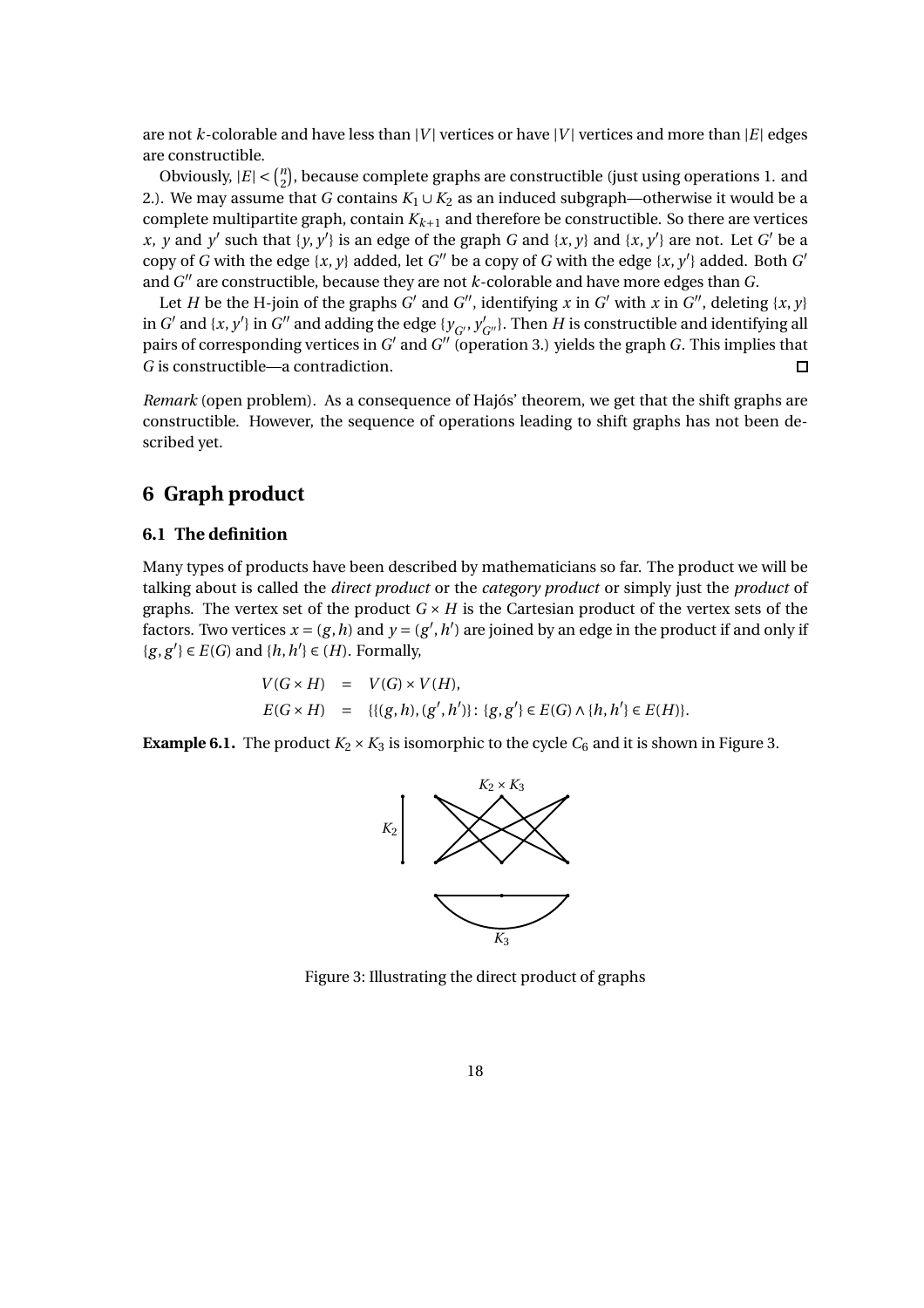are not *k*-colorable and have less than |*V*| vertices or have |*V*| vertices and more than |*E*| edges are constructible.

Obviously,  $|E| < \binom{n}{2}$  $\binom{n}{2}$ , because complete graphs are constructible (just using operations 1. and 2.). We may assume that *G* contains  $K_1 \cup K_2$  as an induced subgraph—otherwise it would be a complete multipartite graph, contain  $K_{k+1}$  and therefore be constructible. So there are vertices *x*, *y* and *y*<sup>'</sup> such that {*y*, *y*<sup>'</sup>} is an edge of the graph *G* and {*x*, *y*} and {*x*, *y*<sup>'</sup>} are not. Let *G*<sup>'</sup> be a copy of *G* with the edge  $\{x, y\}$  added, let *G*<sup>"</sup> be a copy of *G* with the edge  $\{x, y'\}$  added. Both *G'* and *G* ′′ are constructible, because they are not *k*-colorable and have more edges than *G*.

Let *H* be the H-join of the graphs *G'* and *G''*, identifying *x* in *G'* with *x* in *G''*, deleting {*x*, *y*} in *G*<sup> $\prime$ </sup> and {*x*, *y*<sup> $\prime$ </sup>} in *G*<sup> $\prime\prime$ </sup> and adding the edge {*y<sub>G'</sub>*, *y*<sub>*G*''</sub>}. Then *H* is constructible and identifying all pairs of corresponding vertices in G' and G" (operation 3.) yields the graph G. This implies that *G* is constructible—a contradiction.  $\Box$ 

*Remark* (open problem)*.* As a consequence of Hajós' theorem, we get that the shift graphs are constructible. However, the sequence of operations leading to shift graphs has not been described yet.

# **6 Graph product**

## **6.1 The definition**

Many types of products have been described by mathematicians so far. The product we will be talking about is called the *direct product* or the *category product* or simply just the *product* of graphs. The vertex set of the product  $G \times H$  is the Cartesian product of the vertex sets of the factors. Two vertices  $x = (g, h)$  and  $y = (g', h')$  are joined by an edge in the product if and only if { $g, g'$ } ∈ *E*(*G*) and { $h, h'$ } ∈ (*H*). Formally,

$$
V(G \times H) = V(G) \times V(H),
$$
  
\n
$$
E(G \times H) = \{ \{ (g, h), (g', h') \} : \{ g, g' \} \in E(G) \land \{ h, h' \} \in E(H) \}.
$$

**Example 6.1.** The product  $K_2 \times K_3$  is isomorphic to the cycle  $C_6$  and it is shown in Figure 3.



Figure 3: Illustrating the direct product of graphs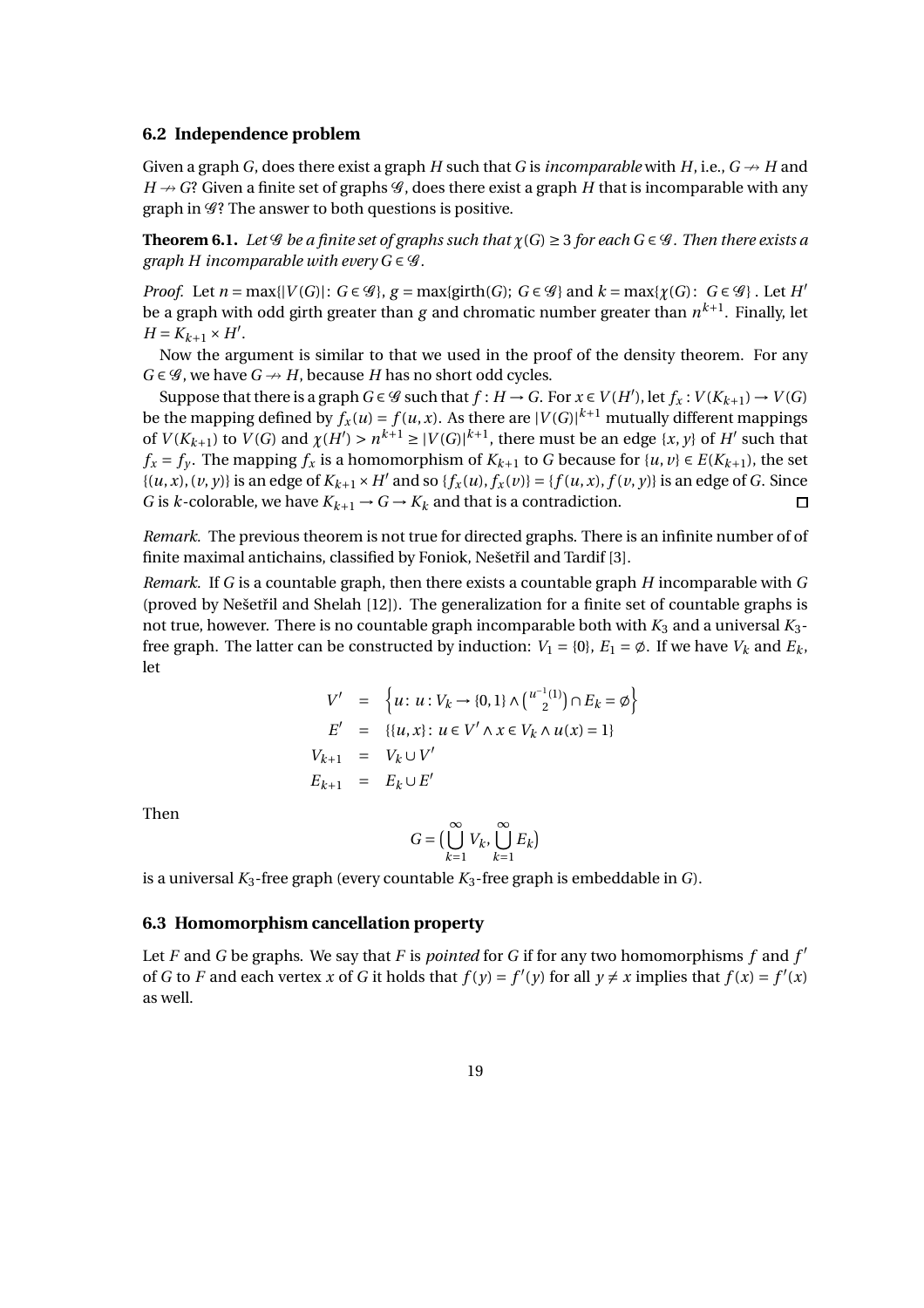#### **6.2 Independence problem**

Given a graph *G*, does there exist a graph *H* such that *G* is *incomparable* with *H*, i.e.,  $G \nrightarrow H$  and  $H \rightarrow G$ ? Given a finite set of graphs  $\mathcal G$ , does there exist a graph *H* that is incomparable with any graph in  $\mathscr{G}$ ? The answer to both questions is positive.

**Theorem 6.1.** Let G be a finite set of graphs such that  $\chi(G) \geq 3$  for each  $G \in \mathcal{G}$ . Then there exists a *graph H incomparable with every*  $G \in \mathcal{G}$ *.* 

*Proof.* Let  $n = \max\{|V(G)|: G \in \mathcal{G}\}\$ ,  $g = \max\{\text{girth}(G): G \in \mathcal{G}\}$  and  $k = \max\{\chi(G): G \in \mathcal{G}\}\$ . Let  $H'$ be a graph with odd girth greater than *g* and chromatic number greater than *n k*+1 . Finally, let  $H = K_{k+1} \times H'$ .

Now the argument is similar to that we used in the proof of the density theorem. For any  $G \in \mathcal{G}$ , we have  $G \nrightarrow H$ , because *H* has no short odd cycles.

Suppose that there is a graph  $G \in \mathscr{G}$  such that  $f : H \to G$ . For  $x \in V(H')$ , let  $f_x : V(K_{k+1}) \to V(G)$ be the mapping defined by  $f_x(u) = f(u, x)$ . As there are  $|V(G)|^{k+1}$  mutually different mappings of  $V(K_{k+1})$  to  $V(G)$  and  $\chi(H') > n^{k+1} \geq |V(G)|^{k+1}$ , there must be an edge  $\{x, y\}$  of  $H'$  such that *f*<sub>*x*</sub> = *f*<sub>*y*</sub>. The mapping *f*<sub>*x*</sub> is a homomorphism of  $K_{k+1}$  to *G* because for {*u*, *v*} ∈ *E*( $K_{k+1}$ ), the set  $\{(u, x), (v, y)\}\$ is an edge of  $K_{k+1} \times H'$  and so  $\{f_x(u), f_x(v)\} = \{f(u, x), f(v, y)\}\$ is an edge of G. Since *G* is *k*-colorable, we have  $K_{k+1} \rightarrow G \rightarrow K_k$  and that is a contradiction.  $\Box$ 

*Remark.* The previous theorem is not true for directed graphs. There is an infinite number of of finite maximal antichains, classified by Foniok, Nešetřil and Tardif [3].

*Remark.* If *G* is a countable graph, then there exists a countable graph *H* incomparable with *G* (proved by Nešetřil and Shelah  $[12]$ ). The generalization for a finite set of countable graphs is not true, however. There is no countable graph incomparable both with  $K_3$  and a universal  $K_3$ free graph. The latter can be constructed by induction:  $V_1 = \{0\}$ ,  $E_1 = \emptyset$ . If we have  $V_k$  and  $E_k$ , let

$$
V' = \left\{ u : u : V_k \to \{0, 1\} \wedge \binom{u^{-1}(1)}{2} \cap E_k = \emptyset \right\}
$$
  
\n
$$
E' = \left\{ \{u, x\} : u \in V' \wedge x \in V_k \wedge u(x) = 1 \right\}
$$
  
\n
$$
V_{k+1} = V_k \cup V'
$$
  
\n
$$
E_{k+1} = E_k \cup E'
$$

Then

$$
G = \big(\bigcup_{k=1}^{\infty} V_k, \bigcup_{k=1}^{\infty} E_k\big)
$$

is a universal  $K_3$ -free graph (every countable  $K_3$ -free graph is embeddable in *G*).

#### **6.3 Homomorphism cancellation property**

Let *F* and *G* be graphs. We say that *F* is *pointed* for *G* if for any two homomorphisms *f* and *f* ′ of *G* to *F* and each vertex *x* of *G* it holds that  $f(y) = f'(y)$  for all  $y \neq x$  implies that  $f(x) = f'(x)$ as well.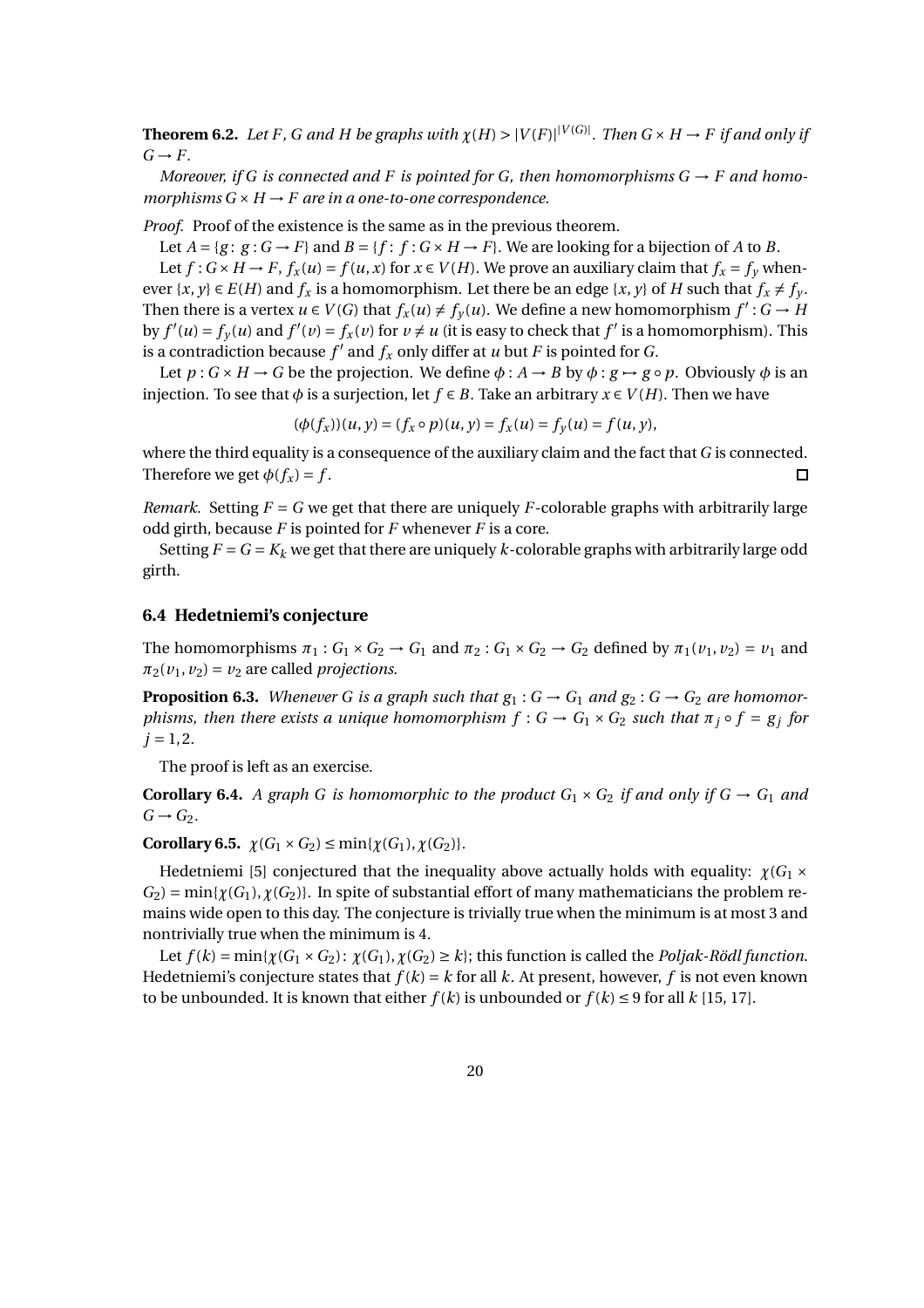**Theorem 6.2.** Let F, G and H be graphs with  $\chi(H) > |V(F)|^{|V(G)|}$ . Then  $G \times H \to F$  if and only if  $G \rightarrow F$ .

*Moreover, if G is connected and F is pointed for G, then homomorphisms*  $G \rightarrow F$  *and homomorphisms*  $G \times H \rightarrow F$  *are in a one-to-one correspondence.* 

*Proof.* Proof of the existence is the same as in the previous theorem.

Let  $A = \{g : g : G \rightarrow F\}$  and  $B = \{f : f : G \times H \rightarrow F\}$ . We are looking for a bijection of *A* to *B*. Let  $f: G \times H \to F$ ,  $f_x(u) = f(u, x)$  for  $x \in V(H)$ . We prove an auxiliary claim that  $f_x = f_y$  whenever  $\{x, y\} \in E(H)$  and  $f_x$  is a homomorphism. Let there be an edge  $\{x, y\}$  of *H* such that  $f_x \neq f_y$ . Then there is a vertex  $u \in V(G)$  that  $f_x(u) \neq f_y(u)$ . We define a new homomorphism  $f': G \to H$ by  $f'(u) = f_y(u)$  and  $f'(v) = f_x(v)$  for  $v \neq u$  (it is easy to check that  $f'$  is a homomorphism). This is a contradiction because  $f'$  and  $f_x$  only differ at  $u$  but  $F$  is pointed for  $G$ .

Let  $p: G \times H \to G$  be the projection. We define  $\phi: A \to B$  by  $\phi: g \to g \circ p$ . Obviously  $\phi$  is an injection. To see that  $\phi$  is a surjection, let  $f \in B$ . Take an arbitrary  $x \in V(H)$ . Then we have

$$
(\phi(f_x))(u, y) = (f_x \circ p)(u, y) = f_x(u) = f_y(u) = f(u, y),
$$

where the third equality is a consequence of the auxiliary claim and the fact that *G* is connected. Therefore we get  $\phi(f_x) = f$ .  $\Box$ 

*Remark.* Setting *F* = *G* we get that there are uniquely *F*-colorable graphs with arbitrarily large odd girth, because *F* is pointed for *F* whenever *F* is a core.

Setting  $F = G = K_k$  we get that there are uniquely *k*-colorable graphs with arbitrarily large odd girth.

## **6.4 Hedetniemi's conjecture**

The homomorphisms  $\pi_1$ :  $G_1 \times G_2 \rightarrow G_1$  and  $\pi_2$ :  $G_1 \times G_2 \rightarrow G_2$  defined by  $\pi_1(v_1, v_2) = v_1$  and  $\pi_2(v_1, v_2) = v_2$  are called *projections*.

**Proposition 6.3.** Whenever G is a graph such that  $g_1: G \to G_1$  and  $g_2: G \to G_2$  are homomor*phisms, then there exists a unique homomorphism*  $f : G \to G_1 \times G_2$  *such that*  $\pi_j \circ f = g_j$  for  $j = 1, 2.$ 

The proof is left as an exercise.

**Corollary 6.4.** *A graph G is homomorphic to the product*  $G_1 \times G_2$  *if and only if*  $G \rightarrow G_1$  *and*  $G \rightarrow G_2$ .

**Corollary 6.5.**  $\chi(G_1 \times G_2) \le \min{\{\chi(G_1), \chi(G_2)\}}$ .

Hedetniemi [5] conjectured that the inequality above actually holds with equality:  $\chi(G_1 \times$  $G_2$ ) = min{ $\gamma(G_1)$ ,  $\gamma(G_2)$ }. In spite of substantial effort of many mathematicians the problem remains wide open to this day. The conjecture is trivially true when the minimum is at most 3 and nontrivially true when the minimum is 4.

Let  $f(k) = min{\{\chi(G_1 \times G_2) : \chi(G_1), \chi(G_2) \geq k\}}$ ; this function is called the *Poljak-Rödl function*. Hedetniemi's conjecture states that  $f(k) = k$  for all k. At present, however, f is not even known to be unbounded. It is known that either  $f(k)$  is unbounded or  $f(k) \le 9$  for all  $k$  [15, 17].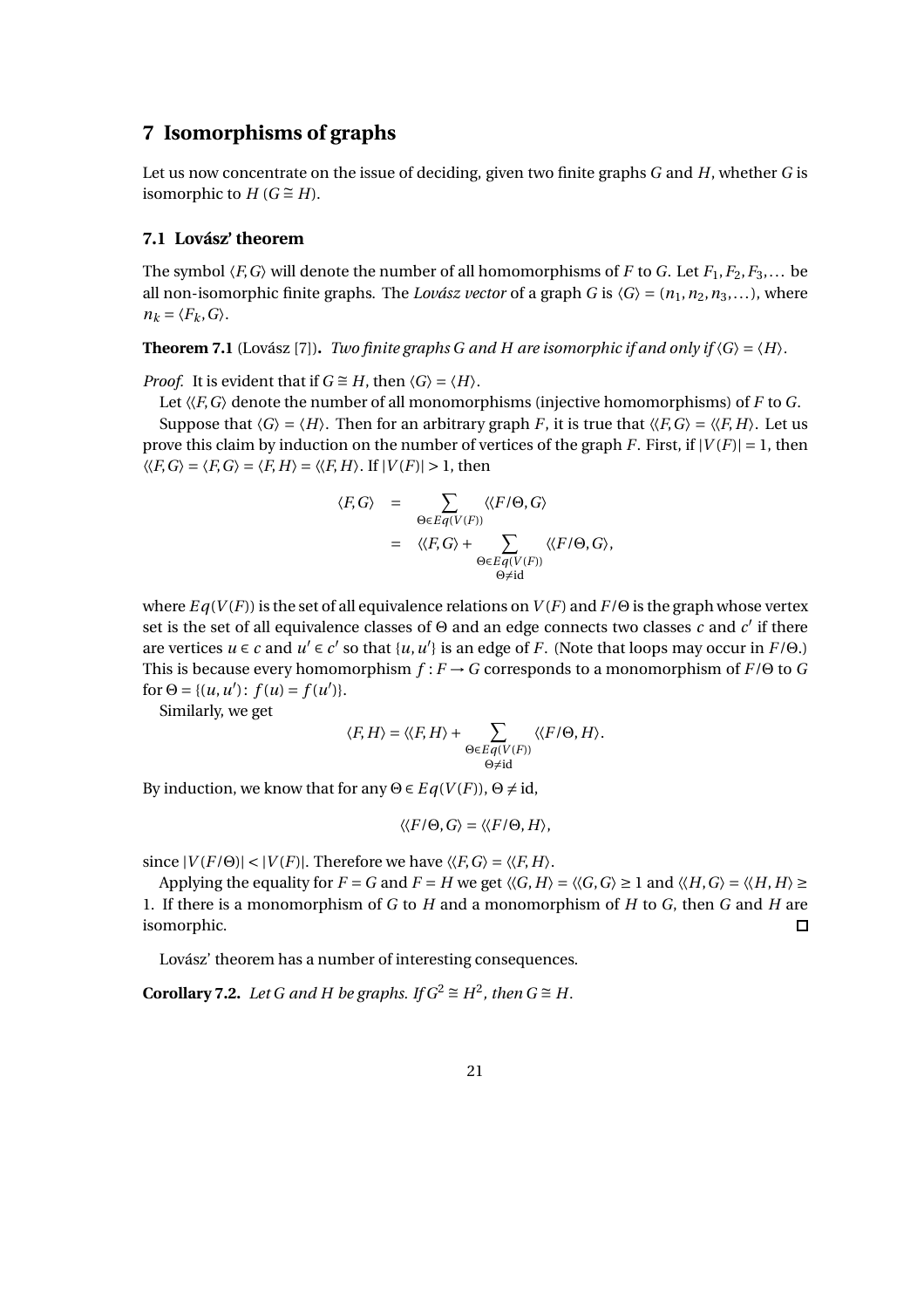# **7 Isomorphisms of graphs**

Let us now concentrate on the issue of deciding, given two finite graphs *G* and *H*, whether *G* is isomorphic to  $H$  ( $G \cong H$ ).

## **7.1 Lovász' theorem**

The symbol  $\langle F, G \rangle$  will denote the number of all homomorphisms of *F* to *G*. Let  $F_1, F_2, F_3, \ldots$  be all non-isomorphic finite graphs. The *Lovász vector* of a graph *G* is  $\langle G \rangle = (n_1, n_2, n_3,...)$ , where  $n_k = \langle F_k, G \rangle$ .

**Theorem 7.1** (Lovász [7]). *Two finite graphs G and H are isomorphic if and only if*  $\langle G \rangle = \langle H \rangle$ .

*Proof.* It is evident that if  $G \cong H$ , then  $\langle G \rangle = \langle H \rangle$ .

Let  $\langle F, G \rangle$  denote the number of all monomorphisms (injective homomorphisms) of *F* to *G*. Suppose that  $\langle G \rangle = \langle H \rangle$ . Then for an arbitrary graph *F*, it is true that  $\langle \langle F, G \rangle = \langle \langle F, H \rangle$ . Let us prove this claim by induction on the number of vertices of the graph *F*. First, if  $|V(F)| = 1$ , then  $\langle\langle F, G \rangle = \langle F, G \rangle = \langle F, H \rangle = \langle\langle F, H \rangle$ . If  $|V(F)| > 1$ , then

$$
\langle F, G \rangle = \sum_{\Theta \in Eq(V(F))} \langle \langle F/\Theta, G \rangle
$$
  
= 
$$
\langle \langle F, G \rangle + \sum_{\Theta \in Eq(V(F))} \langle \langle F/\Theta, G \rangle,
$$
  

$$
\Theta \neq id
$$

where  $Eq(V(F))$  is the set of all equivalence relations on  $V(F)$  and  $F/\Theta$  is the graph whose vertex set is the set of all equivalence classes of  $\Theta$  and an edge connects two classes *c* and *c'* if there are vertices  $u \in c$  and  $u' \in c'$  so that  $\{u, u'\}$  is an edge of *F*. (Note that loops may occur in  $F/\Theta$ .) This is because every homomorphism *f* : *F* →*G* corresponds to a monomorphism of *F*/Θ to *G* for  $\Theta = \{(u, u') : f(u) = f(u')\}.$ 

Similarly, we get

$$
\langle F, H \rangle = \langle \langle F, H \rangle + \sum_{\substack{\Theta \in Eq(V(F)) \\ \Theta \neq \text{id}}} \langle \langle F/\Theta, H \rangle.
$$

By induction, we know that for any  $\Theta \in Eq(V(F))$ ,  $\Theta \neq id$ ,

$$
\langle\langle F/\Theta,G\rangle=\langle\langle F/\Theta,H\rangle,
$$

since  $|V(F/\Theta)| < |V(F)|$ . Therefore we have  $\langle \langle F, G \rangle = \langle \langle F, H \rangle$ .

Applying the equality for  $F = G$  and  $F = H$  we get  $\langle G, H \rangle = \langle G, G \rangle \ge 1$  and  $\langle H, G \rangle = \langle \langle H, H \rangle \ge$ 1. If there is a monomorphism of *G* to *H* and a monomorphism of *H* to *G*, then *G* and *H* are isomorphic.  $\Box$ 

Lovász' theorem has a number of interesting consequences.

**Corollary 7.2.** *Let G and H be graphs. If*  $G^2 \cong H^2$ , *then*  $G \cong H$ *.*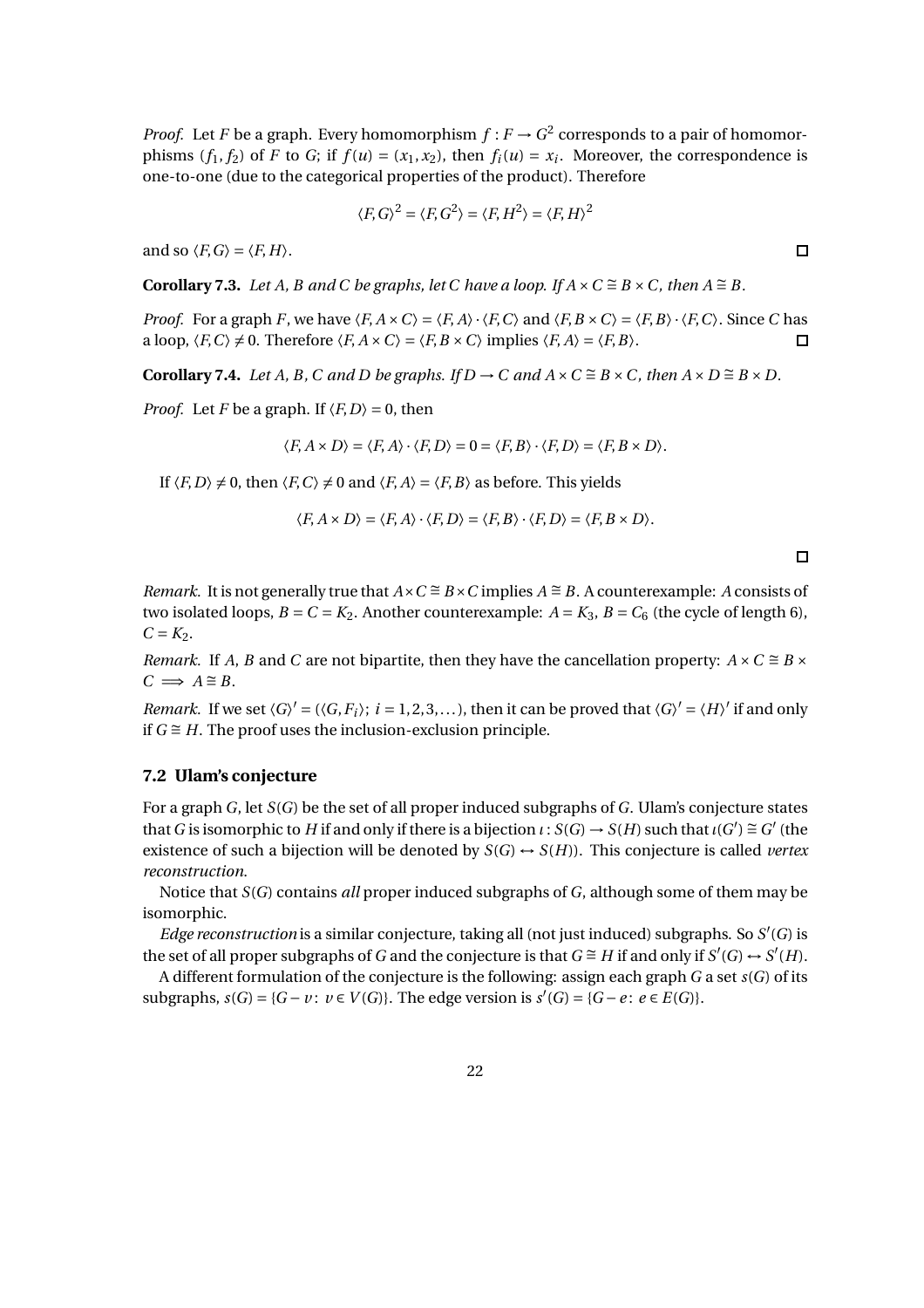*Proof.* Let *F* be a graph. Every homomorphism  $f : F \to G^2$  corresponds to a pair of homomorphisms  $(f_1, f_2)$  of *F* to *G*; if  $f(u) = (x_1, x_2)$ , then  $f_i(u) = x_i$ . Moreover, the correspondence is one-to-one (due to the categorical properties of the product). Therefore

$$
\langle F, G \rangle^2 = \langle F, G^2 \rangle = \langle F, H^2 \rangle = \langle F, H \rangle^2
$$

and so  $\langle F, G \rangle = \langle F, H \rangle$ .

**Corollary 7.3.** *Let A, B and C be graphs, let C have a loop. If*  $A \times C \cong B \times C$ *, then*  $A \cong B$ *.* 

*Proof.* For a graph *F*, we have  $\langle F, A \times C \rangle = \langle F, A \rangle \cdot \langle F, C \rangle$  and  $\langle F, B \times C \rangle = \langle F, B \rangle \cdot \langle F, C \rangle$ . Since *C* has a loop,  $\langle F, C \rangle \neq 0$ . Therefore  $\langle F, A \times C \rangle = \langle F, B \times C \rangle$  implies  $\langle F, A \rangle = \langle F, B \rangle$ .  $\Box$ 

**Corollary 7.4.** *Let A, B, C and D be graphs. If D*  $\rightarrow$  *C and A* × *C*  $\cong$  *B* × *C, then A* × *D*  $\cong$  *B* × *D.* 

*Proof.* Let *F* be a graph. If  $\langle F, D \rangle = 0$ , then

$$
\langle F, A \times D \rangle = \langle F, A \rangle \cdot \langle F, D \rangle = 0 = \langle F, B \rangle \cdot \langle F, D \rangle = \langle F, B \times D \rangle.
$$

If  $\langle F, D \rangle \neq 0$ , then  $\langle F, C \rangle \neq 0$  and  $\langle F, A \rangle = \langle F, B \rangle$  as before. This yields

$$
\langle F, A \times D \rangle = \langle F, A \rangle \cdot \langle F, D \rangle = \langle F, B \rangle \cdot \langle F, D \rangle = \langle F, B \times D \rangle.
$$

*Remark.* It is not generally true that  $A \times C \cong B \times C$  implies  $A \cong B$ . A counterexample: *A* consists of two isolated loops,  $B = C = K_2$ . Another counterexample:  $A = K_3$ ,  $B = C_6$  (the cycle of length 6),  $C = K_2$ .

*Remark.* If *A*, *B* and *C* are not bipartite, then they have the cancellation property:  $A \times C \cong B \times C$  $C \implies A \cong B$ .

*Remark.* If we set  $\langle G \rangle' = (\langle G, F_i \rangle; i = 1, 2, 3, ...)$ , then it can be proved that  $\langle G \rangle' = \langle H \rangle'$  if and only if  $G \cong H$ . The proof uses the inclusion-exclusion principle.

## **7.2 Ulam's conjecture**

For a graph *G*, let *S*(*G*) be the set of all proper induced subgraphs of *G*. Ulam's conjecture states that *G* is isomorphic to *H* if and only if there is a bijection  $\iota : S(G) \to S(H)$  such that  $\iota(G') \cong G'$  (the existence of such a bijection will be denoted by  $S(G) \rightarrow S(H)$ . This conjecture is called *vertex reconstruction*.

Notice that *S*(*G*) contains *all* proper induced subgraphs of *G*, although some of them may be isomorphic.

*Edge reconstruction* is a similar conjecture, taking all (not just induced) subgraphs. So *S* ′ (*G*) is the set of all proper subgraphs of *G* and the conjecture is that *G* ≅ *H* if and only if *S*'(*G*) ↔ *S'*(*H*).

A different formulation of the conjecture is the following: assign each graph *G* a set *s*(*G*) of its subgraphs,  $s(G) = {G − v : v ∈ V(G)}$ . The edge version is  $s'(G) = {G − e : e ∈ E(G)}$ .

 $\Box$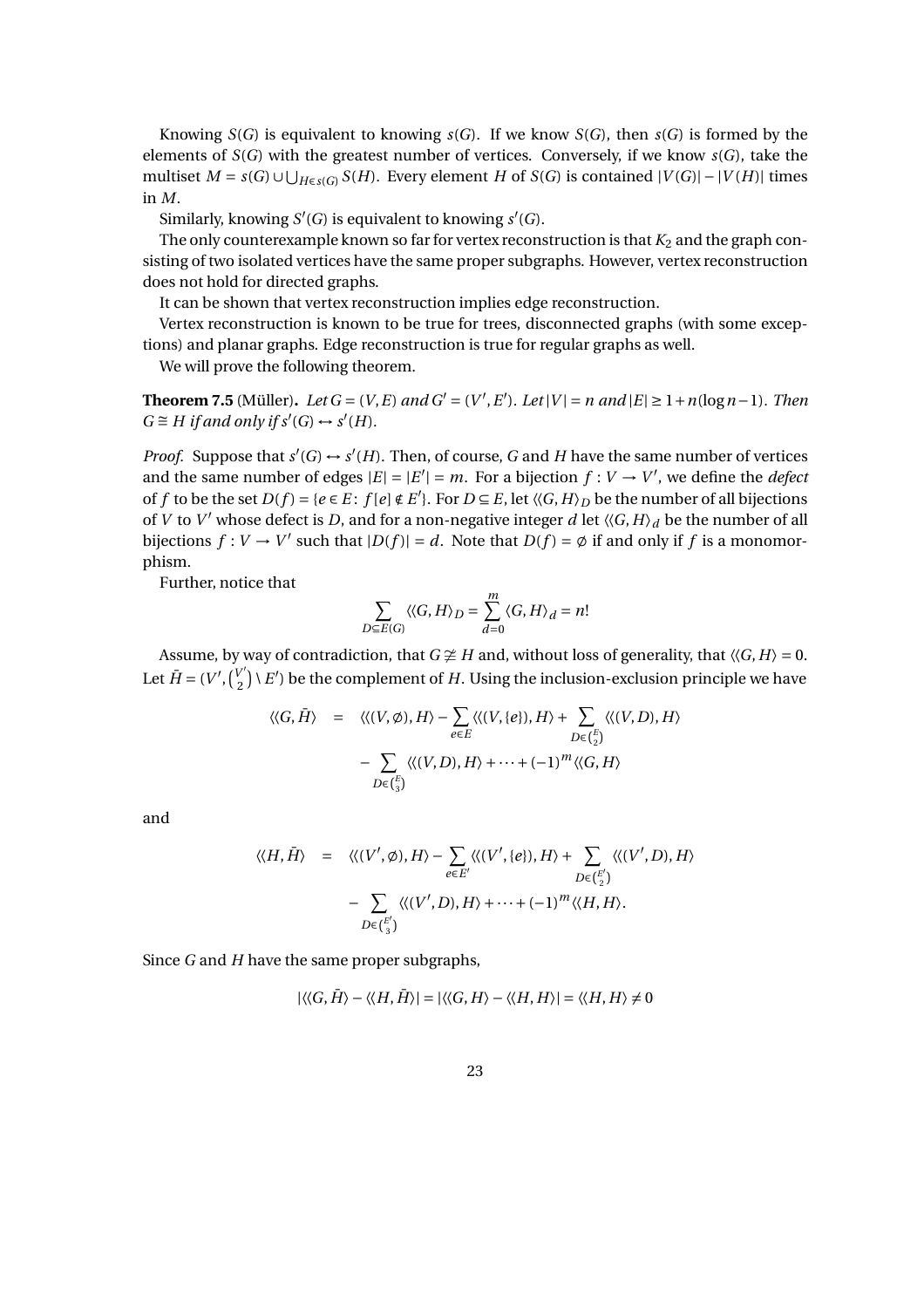Knowing  $S(G)$  is equivalent to knowing  $S(G)$ . If we know  $S(G)$ , then  $S(G)$  is formed by the elements of  $S(G)$  with the greatest number of vertices. Conversely, if we know  $S(G)$ , take the multiset *M* = *s*(*G*)∪ $\bigcup_{H \in s(G)} S(H)$ . Every element *H* of *S*(*G*) is contained  $|V(G)| - |V(H)|$  times in *M*.

Similarly, knowing  $S'(G)$  is equivalent to knowing  $s'(G)$ .

The only counterexample known so far for vertex reconstruction is that  $K_2$  and the graph consisting of two isolated vertices have the same proper subgraphs. However, vertex reconstruction does not hold for directed graphs.

It can be shown that vertex reconstruction implies edge reconstruction.

Vertex reconstruction is known to be true for trees, disconnected graphs (with some exceptions) and planar graphs. Edge reconstruction is true for regular graphs as well.

We will prove the following theorem.

**Theorem 7.5** (Müller). *Let G* = (*V*, *E*) *and G*<sup> $′$ </sup> = (*V*<sup> $′$ </sup>, *E* $′$ ). *Let* |*V*| = *n* and |*E*| ≥ 1 + *n*(log *n*−1). *Then*  $G \cong H$  *if and only if*  $s'(G) \leftrightarrow s'(H)$ *.* 

*Proof.* Suppose that  $s'(G) \leftrightarrow s'(H)$ . Then, of course, G and H have the same number of vertices and the same number of edges  $|E| = |E'| = m$ . For a bijection  $f: V \to V'$ , we define the *defect* of *f* to be the set  $D(f) = \{e \in E : f[e] \notin E'\}$ . For  $D \subseteq E$ , let  $\langle G, H \rangle_D$  be the number of all bijections of *V* to *V'* whose defect is *D*, and for a non-negative integer *d* let  $\langle G, H \rangle_d$  be the number of all bijections  $f: V \to V'$  such that  $|D(f)| = d$ . Note that  $D(f) = \emptyset$  if and only if f is a monomorphism.

Further, notice that

$$
\sum_{D \subseteq E(G)} \langle \langle G, H \rangle_D = \sum_{d=0}^m \langle G, H \rangle_d = n!
$$

Assume, by way of contradiction, that  $G \not\cong H$  and, without loss of generality, that  $\langle G, H \rangle = 0$ . Let  $\bar{H} = (V', \begin{pmatrix} V' \\ 2 \end{pmatrix})$  $\binom{p}{2}$  \ *E'* ) be the complement of *H*. Using the inclusion-exclusion principle we have

$$
\langle\langle G, \overline{H} \rangle = \langle\langle (V, \emptyset), H \rangle - \sum_{e \in E} \langle\langle (V, \{e\}), H \rangle + \sum_{D \in {E \choose 2}} \langle\langle (V, D), H \rangle
$$

$$
- \sum_{D \in {E \choose 3}} \langle\langle (V, D), H \rangle + \dots + (-1)^m \langle\langle G, H \rangle
$$

and

$$
\langle \langle H, \overline{H} \rangle = \langle \langle (V', \emptyset), H \rangle - \sum_{e \in E'} \langle \langle (V', \{e\}), H \rangle + \sum_{D \in {E' \choose 2}} \langle \langle (V', D), H \rangle - \sum_{D \in {E' \choose 3}} \langle \langle (V', D), H \rangle + \dots + (-1)^m \langle \langle H, H \rangle.
$$

Since *G* and *H* have the same proper subgraphs,

$$
|\langle\langle G,\overline{H}\rangle-\langle\langle H,\overline{H}\rangle|=|\langle\langle G,H\rangle-\langle\langle H,H\rangle|=\langle\langle H,H\rangle\neq 0
$$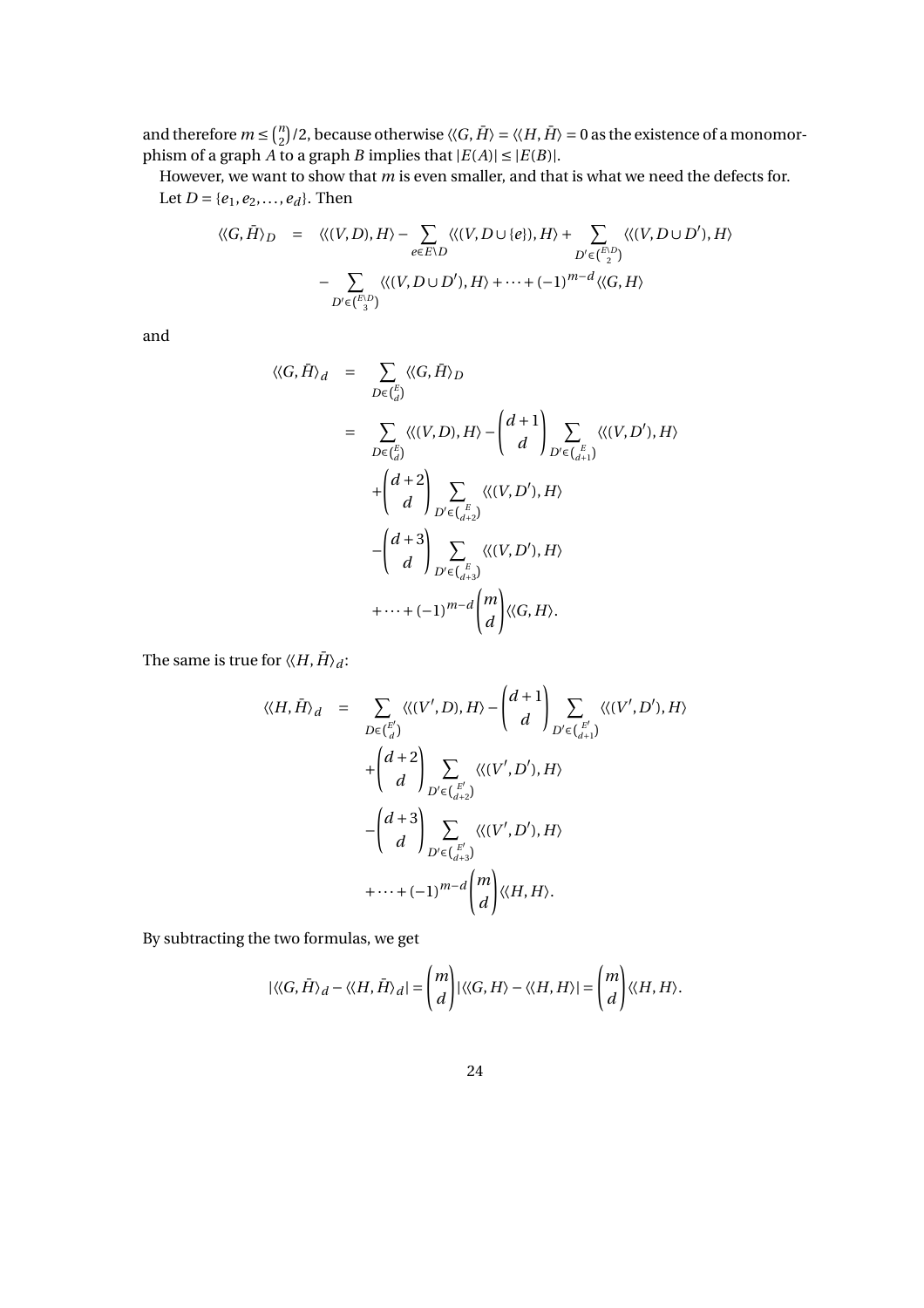and therefore  $m \leq {n \choose 2}$  $\binom{n}{2}/2$ , because otherwise  $\langle\langle G,\bar{H}\rangle=\langle\langle H,\bar{H}\rangle=0$  as the existence of a monomorphism of a graph *A* to a graph *B* implies that  $|E(A)| \leq |E(B)|$ .

However, we want to show that *m* is even smaller, and that is what we need the defects for. Let  $D = \{e_1, e_2, \ldots, e_d\}$ . Then

$$
\langle\langle G, \overline{H} \rangle_D = \langle\langle (V, D), H \rangle - \sum_{e \in E \setminus D} \langle\langle (V, D \cup \{e\}), H \rangle + \sum_{D' \in \binom{E \setminus D}{2}} \langle\langle (V, D \cup D'), H \rangle - \sum_{D' \in \binom{E \setminus D}{3}} \langle\langle (V, D \cup D'), H \rangle + \dots + (-1)^{m-d} \langle\langle G, H \rangle
$$

and

$$
\langle\langle G, \bar{H} \rangle_d = \sum_{D \in {E \choose d}} \langle\langle G, \bar{H} \rangle_D
$$
  
\n
$$
= \sum_{D \in {E \choose d}} \langle\langle (V, D), H \rangle - {d + 1 \choose d} \sum_{D' \in {E \choose d+1}} \langle\langle (V, D'), H \rangle
$$
  
\n
$$
+ {d + 2 \choose d} \sum_{D' \in {E \choose d+2}} \langle\langle (V, D'), H \rangle
$$
  
\n
$$
- {d + 3 \choose d} \sum_{D' \in {E \choose d+3}} \langle\langle (V, D'), H \rangle
$$
  
\n
$$
+ \cdots + (-1)^{m-d} {m \choose d} \langle\langle G, H \rangle.
$$

The same is true for  $\langle \langle H, \bar{H} \rangle_d$ :

$$
\langle\langle H, \overline{H} \rangle_d = \sum_{D \in {E' \choose d}} \langle\langle (V', D), H \rangle - {d+1 \choose d} \sum_{D' \in {E' \choose d+1}} \langle\langle (V', D'), H \rangle
$$
  
+ 
$$
{d+2 \choose d} \sum_{D' \in {E' \choose d+2}} \langle\langle (V', D'), H \rangle
$$
  
- 
$$
{d+3 \choose d} \sum_{D' \in {E' \choose d+3}} \langle\langle (V', D'), H \rangle
$$
  
+ 
$$
\cdots + (-1)^{m-d} {m \choose d} \langle\langle H, H \rangle.
$$

By subtracting the two formulas, we get

$$
|\langle\langle G, \bar{H}\rangle_d - \langle\langle H, \bar{H}\rangle_d| = \binom{m}{d} |\langle\langle G, H\rangle - \langle\langle H, H\rangle| = \binom{m}{d} \langle\langle H, H\rangle.
$$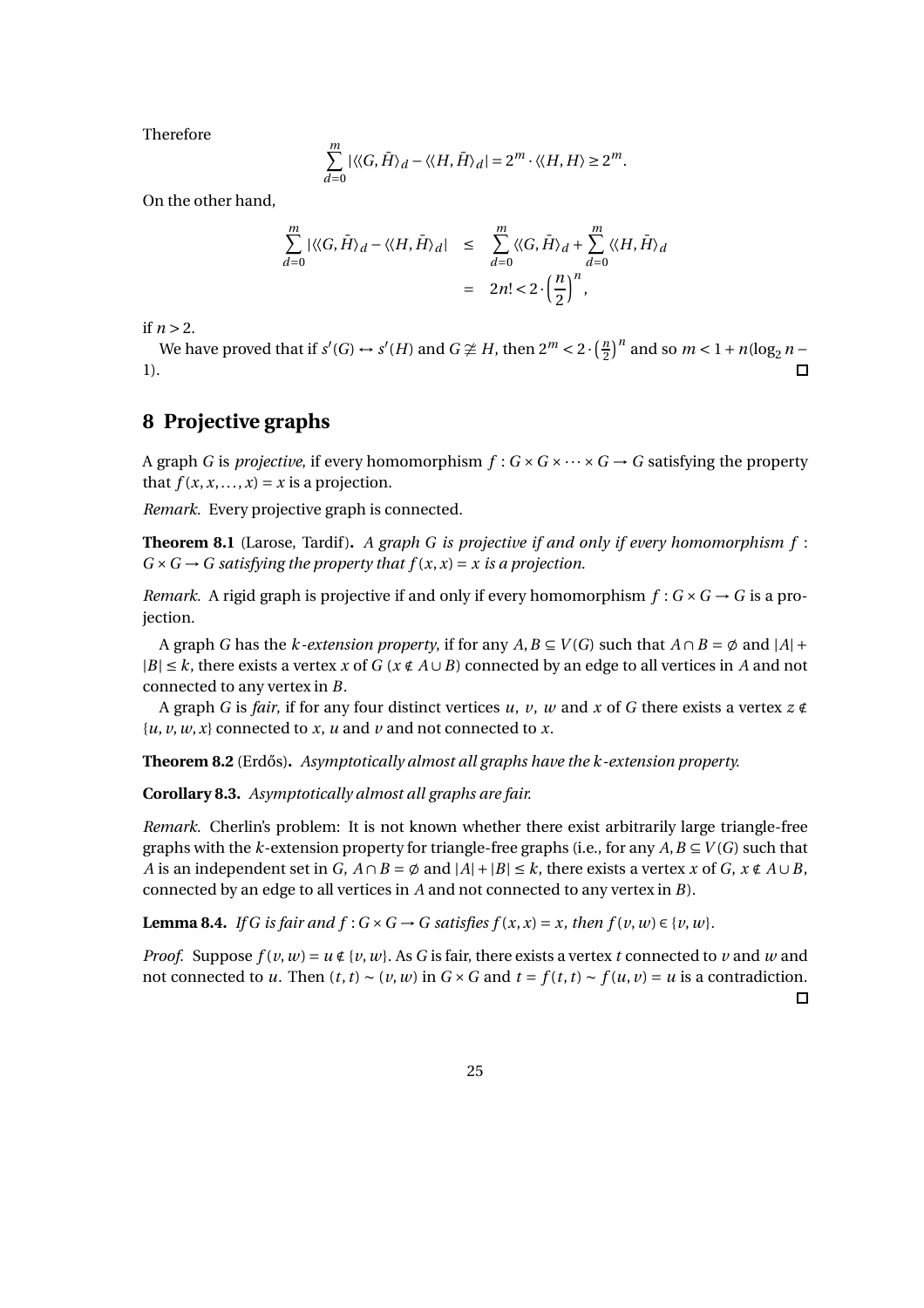Therefore

$$
\sum_{d=0}^{m} |\langle \langle G, \overline{H} \rangle_d - \langle \langle H, \overline{H} \rangle_d | = 2^m \cdot \langle \langle H, H \rangle \ge 2^m.
$$

On the other hand,

$$
\sum_{d=0}^{m} |\langle G, \bar{H} \rangle_d - \langle \langle H, \bar{H} \rangle_d| \leq \sum_{d=0}^{m} \langle \langle G, \bar{H} \rangle_d + \sum_{d=0}^{m} \langle \langle H, \bar{H} \rangle_d
$$

$$
= 2n! < 2 \cdot \left(\frac{n}{2}\right)^n,
$$

if  $n > 2$ .

We have proved that if  $s'(G) \leftrightarrow s'(H)$  and  $G \ncong H$ , then  $2^m < 2 \cdot \left(\frac{n}{2}\right)^n$  and so  $m < 1 + n(\log_2 n - 1)$ 1).  $\blacksquare$ 

# **8 Projective graphs**

A graph *G* is *projective*, if every homomorphism  $f: G \times G \times \cdots \times G \rightarrow G$  satisfying the property that  $f(x, x, \ldots, x) = x$  is a projection.

*Remark.* Every projective graph is connected.

**Theorem 8.1** (Larose, Tardif). A graph G is projective if and only if every homomorphism f:  $G \times G \rightarrow G$  satisfying the property that  $f(x, x) = x$  is a projection.

*Remark.* A rigid graph is projective if and only if every homomorphism  $f : G \times G \rightarrow G$  is a projection.

A graph *G* has the *k-extension property*, if for any  $A, B \subseteq V(G)$  such that  $A \cap B = \emptyset$  and  $|A| +$  $|B|$  ≤ *k*, there exists a vertex *x* of *G* ( $x \notin A \cup B$ ) connected by an edge to all vertices in *A* and not connected to any vertex in *B*.

A graph *G* is *fair*, if for any four distinct vertices *u*, *v*, *w* and *x* of *G* there exists a vertex *z* ∉  $\{u, v, w, x\}$  connected to *x*, *u* and *v* and not connected to *x*.

**Theorem 8.2** (Erdős). *Asymptotically almost all graphs have the k-extension property.* 

**Corollary 8.3.** *Asymptotically almost all graphs are fair.*

*Remark.* Cherlin's problem: It is not known whether there exist arbitrarily large triangle-free graphs with the *k*-extension property for triangle-free graphs (i.e., for any  $A, B \subseteq V(G)$  such that *A* is an independent set in *G*,  $A \cap B = \emptyset$  and  $|A| + |B| \le k$ , there exists a vertex *x* of *G*,  $x \notin A \cup B$ , connected by an edge to all vertices in *A* and not connected to any vertex in *B*).

**Lemma 8.4.** *If G is fair and f* :  $G \times G \rightarrow G$  *satisfies f*  $(x, x) = x$ *, then f*  $(v, w) \in \{v, w\}$ *.* 

*Proof.* Suppose  $f(v, w) = u \notin \{v, w\}$ . As *G* is fair, there exists a vertex *t* connected to *v* and *w* and not connected to *u*. Then  $(t, t) \sim (v, w)$  in  $G \times G$  and  $t = f(t, t) \sim f(u, v) = u$  is a contradiction.  $\Box$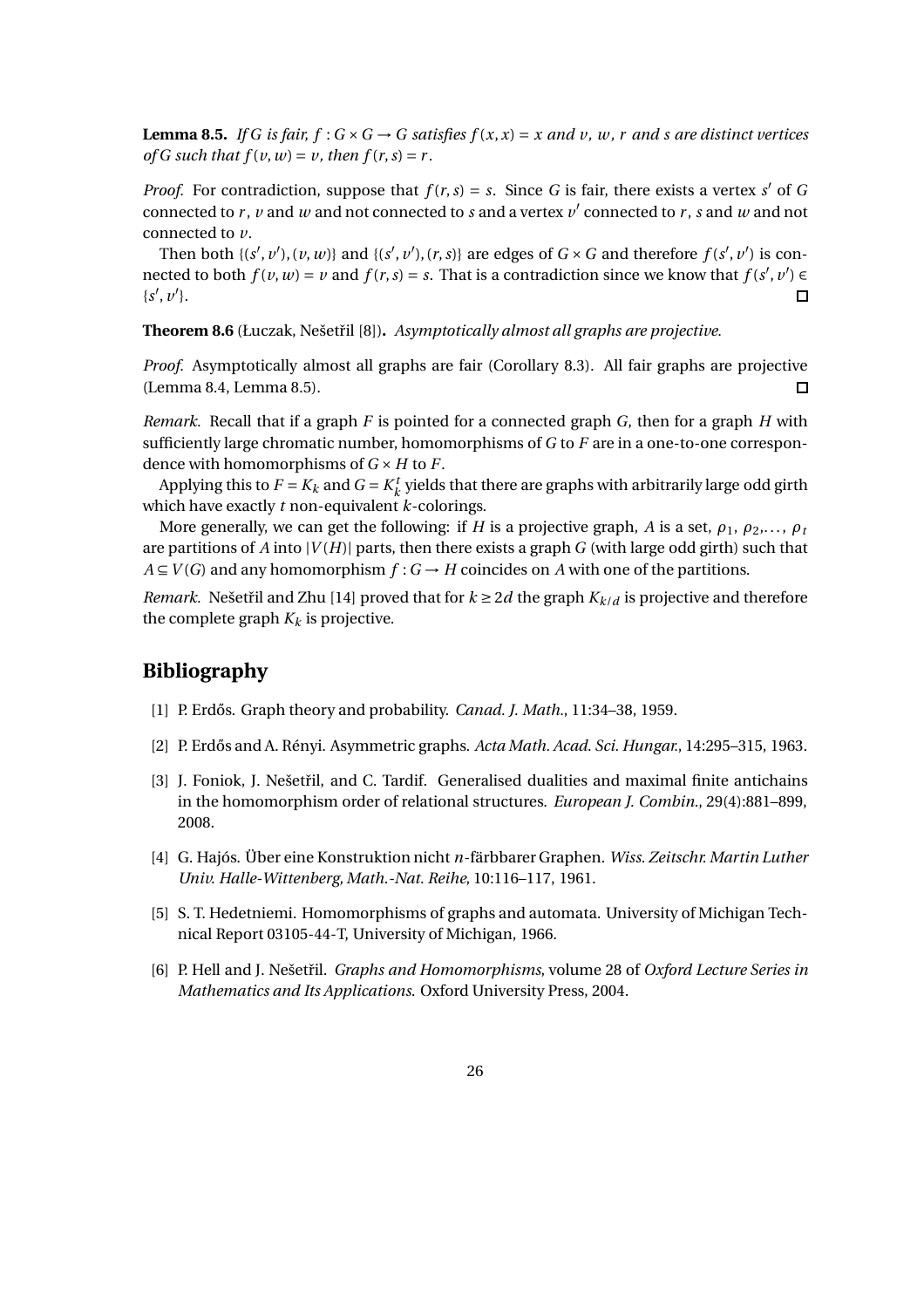**Lemma 8.5.** *If G is fair, f* :  $G \times G \rightarrow G$  *satisfies f*(*x, x*) = *x and v, w, r and s are distinct vertices of G such that*  $f(v, w) = v$ *, then*  $f(r, s) = r$ *.* 

*Proof.* For contradiction, suppose that  $f(r, s) = s$ . Since *G* is fair, there exists a vertex *s'* of *G* connected to  $r$ ,  $v$  and  $w$  and not connected to  $s$  and a vertex  $v'$  connected to  $r$ ,  $s$  and  $w$  and not connected to *v*.

Then both  $\{(s', v'), (v, w)\}$  and  $\{(s', v'), (r, s)\}$  are edges of  $G \times G$  and therefore  $f(s', v')$  is connected to both  $f(v, w) = v$  and  $f(r, s) = s$ . That is a contradiction since we know that  $f(s', v') \in$  $\{s', v'\}.$  $\Box$ 

**Theorem 8.6** (Łuczak, Nešetˇril [8])**.** *Asymptotically almost all graphs are projective.*

*Proof.* Asymptotically almost all graphs are fair (Corollary 8.3). All fair graphs are projective (Lemma 8.4, Lemma 8.5).  $\Box$ 

*Remark.* Recall that if a graph *F* is pointed for a connected graph *G*, then for a graph *H* with sufficiently large chromatic number, homomorphisms of *G* to *F* are in a one-to-one correspondence with homomorphisms of  $G \times H$  to  $F$ .

Applying this to  $F = K_k$  and  $G = K_k^t$  $\mathcal{L}_k^t$  yields that there are graphs with arbitrarily large odd girth which have exactly *t* non-equivalent *k*-colorings.

More generally, we can get the following: if *H* is a projective graph, *A* is a set,  $\rho_1$ ,  $\rho_2$ ,...,  $\rho_t$ are partitions of *A* into  $|V(H)|$  parts, then there exists a graph *G* (with large odd girth) such that  $A \subseteq V(G)$  and any homomorphism  $f: G \to H$  coincides on *A* with one of the partitions.

*Remark.* Nešetřil and Zhu [14] proved that for  $k \geq 2d$  the graph  $K_{k/d}$  is projective and therefore the complete graph  $K_k$  is projective.

# **Bibliography**

- [1] P. Erd˝os. Graph theory and probability. *Canad. J. Math.*, 11:34–38, 1959.
- [2] P. Erd˝os and A. Rényi. Asymmetric graphs. *Acta Math. Acad. Sci. Hungar.*, 14:295–315, 1963.
- [3] J. Foniok, J. Nešetřil, and C. Tardif. Generalised dualities and maximal finite antichains in the homomorphism order of relational structures. *European J. Combin.*, 29(4):881–899, 2008.
- [4] G. Hajós. Über eine Konstruktion nicht *n*-färbbarer Graphen. *Wiss. Zeitschr. Martin Luther Univ. Halle-Wittenberg, Math.-Nat. Reihe*, 10:116–117, 1961.
- [5] S. T. Hedetniemi. Homomorphisms of graphs and automata. University of Michigan Technical Report 03105-44-T, University of Michigan, 1966.
- [6] P. Hell and J. Nešetˇril. *Graphs and Homomorphisms*, volume 28 of *Oxford Lecture Series in Mathematics and Its Applications*. Oxford University Press, 2004.